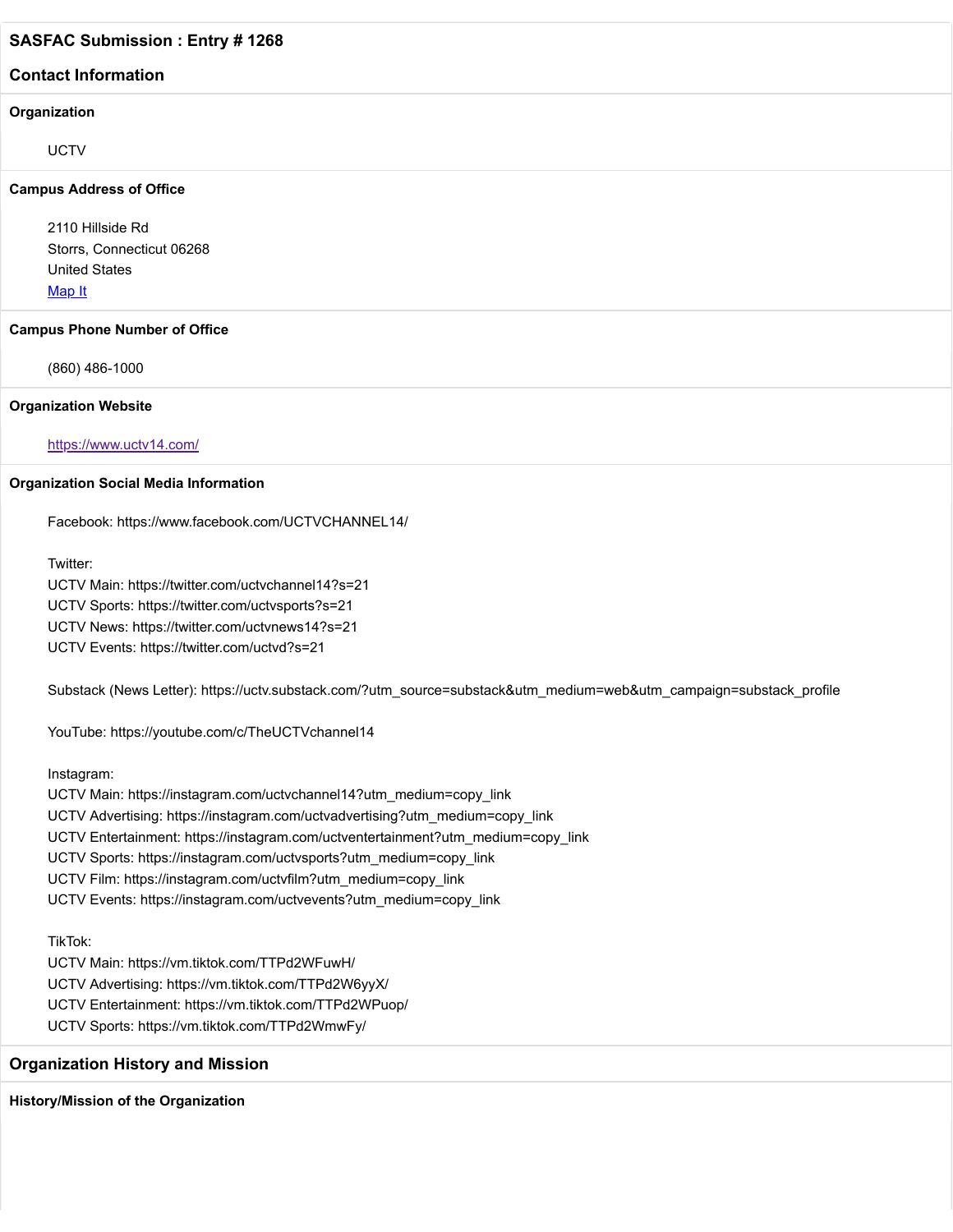#### **Contact Information**

#### **Organization**

**UCTV** 

#### **Campus Address of Office**

2110 Hillside Rd Storrs, Connecticut 06268 United States [Map It](http://maps.google.com/maps?q=2110+Hillside+Rd+Storrs%2C+Connecticut+06268+United+States)

#### **Campus Phone Number of Office**

(860) 486-1000

#### **Organization Website**

<https://www.uctv14.com/>

#### **Organization Social Media Information**

Facebook: https://www.facebook.com/UCTVCHANNEL14/

Twitter:

UCTV Main: https://twitter.com/uctvchannel14?s=21 UCTV Sports: https://twitter.com/uctvsports?s=21 UCTV News: https://twitter.com/uctvnews14?s=21 UCTV Events: https://twitter.com/uctvd?s=21

Substack (News Letter): https://uctv.substack.com/?utm\_source=substack&utm\_medium=web&utm\_campaign=substack\_profile

YouTube: https://youtube.com/c/TheUCTVchannel14

Instagram:

UCTV Main: https://instagram.com/uctvchannel14?utm\_medium=copy\_link UCTV Advertising: https://instagram.com/uctvadvertising?utm\_medium=copy\_link UCTV Entertainment: https://instagram.com/uctventertainment?utm\_medium=copy\_link UCTV Sports: https://instagram.com/uctvsports?utm\_medium=copy\_link UCTV Film: https://instagram.com/uctvfilm?utm\_medium=copy\_link UCTV Events: https://instagram.com/uctvevents?utm\_medium=copy\_link

TikTok:

UCTV Main: https://vm.tiktok.com/TTPd2WFuwH/ UCTV Advertising: https://vm.tiktok.com/TTPd2W6yyX/ UCTV Entertainment: https://vm.tiktok.com/TTPd2WPuop/ UCTV Sports: https://vm.tiktok.com/TTPd2WmwFy/

## **Organization History and Mission**

**History/Mission of the Organization**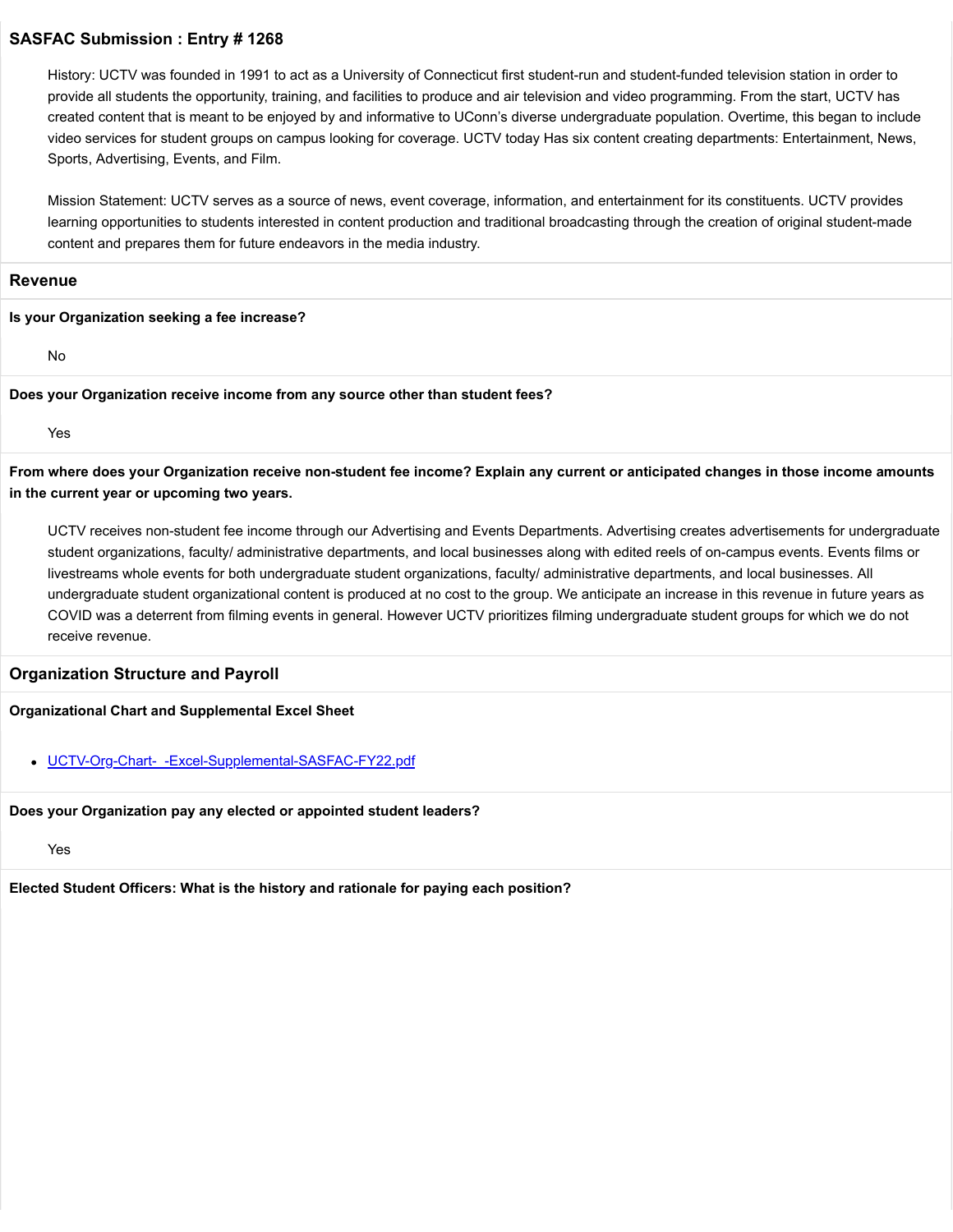History: UCTV was founded in 1991 to act as a University of Connecticut first student-run and student-funded television station in order to provide all students the opportunity, training, and facilities to produce and air television and video programming. From the start, UCTV has created content that is meant to be enjoyed by and informative to UConn's diverse undergraduate population. Overtime, this began to include video services for student groups on campus looking for coverage. UCTV today Has six content creating departments: Entertainment, News, Sports, Advertising, Events, and Film.

Mission Statement: UCTV serves as a source of news, event coverage, information, and entertainment for its constituents. UCTV provides learning opportunities to students interested in content production and traditional broadcasting through the creation of original student-made content and prepares them for future endeavors in the media industry.

#### **Revenue**

#### **Is your Organization seeking a fee increase?**

No

#### **Does your Organization receive income from any source other than student fees?**

Yes

**From where does your Organization receive non-student fee income? Explain any current or anticipated changes in those income amounts in the current year or upcoming two years.**

UCTV receives non-student fee income through our Advertising and Events Departments. Advertising creates advertisements for undergraduate student organizations, faculty/ administrative departments, and local businesses along with edited reels of on-campus events. Events films or livestreams whole events for both undergraduate student organizations, faculty/ administrative departments, and local businesses. All undergraduate student organizational content is produced at no cost to the group. We anticipate an increase in this revenue in future years as COVID was a deterrent from filming events in general. However UCTV prioritizes filming undergraduate student groups for which we do not receive revenue.

#### **Organization Structure and Payroll**

### **Organizational Chart and Supplemental Excel Sheet**

### [UCTV-Org-Chart-\\_-Excel-Supplemental-SASFAC-FY22.pdf](https://trusteeorgsupport.uconn.edu/index.php?gf-download=2022%2F02%2FUCTV-Org-Chart-_-Excel-Supplemental-SASFAC-FY22.pdf&form-id=18&field-id=13&hash=d66353f1a73965c9dd9b3543bbf8b00d1a4ad0bf2f20a2465c10042023b9576d)

#### **Does your Organization pay any elected or appointed student leaders?**

### Yes

**Elected Student Officers: What is the history and rationale for paying each position?**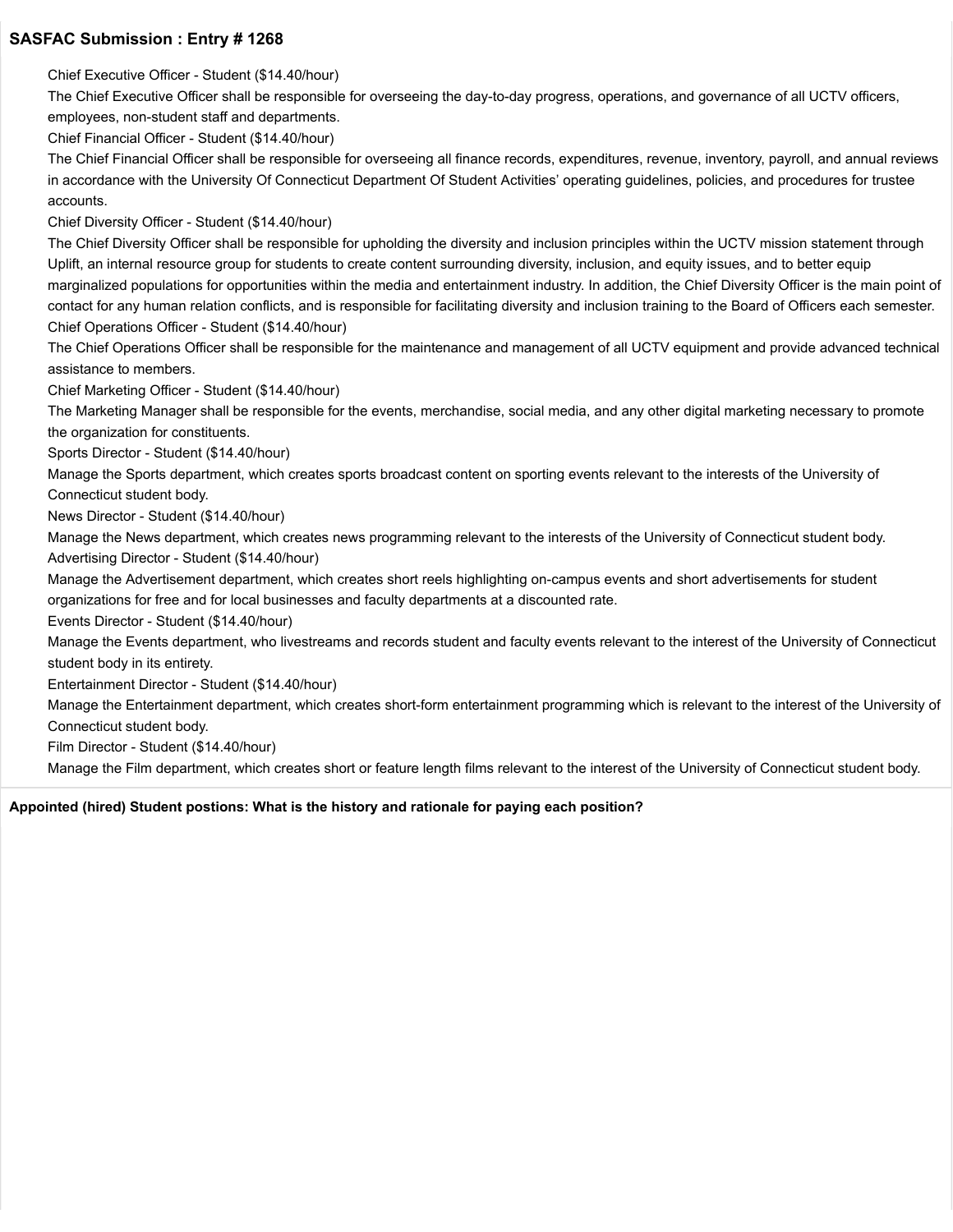Chief Executive Officer - Student (\$14.40/hour)

The Chief Executive Officer shall be responsible for overseeing the day-to-day progress, operations, and governance of all UCTV officers, employees, non-student staff and departments.

Chief Financial Officer - Student (\$14.40/hour)

The Chief Financial Officer shall be responsible for overseeing all finance records, expenditures, revenue, inventory, payroll, and annual reviews in accordance with the University Of Connecticut Department Of Student Activities' operating guidelines, policies, and procedures for trustee accounts.

Chief Diversity Officer - Student (\$14.40/hour)

The Chief Diversity Officer shall be responsible for upholding the diversity and inclusion principles within the UCTV mission statement through Uplift, an internal resource group for students to create content surrounding diversity, inclusion, and equity issues, and to better equip marginalized populations for opportunities within the media and entertainment industry. In addition, the Chief Diversity Officer is the main point of contact for any human relation conflicts, and is responsible for facilitating diversity and inclusion training to the Board of Officers each semester. Chief Operations Officer - Student (\$14.40/hour)

The Chief Operations Officer shall be responsible for the maintenance and management of all UCTV equipment and provide advanced technical assistance to members.

Chief Marketing Officer - Student (\$14.40/hour)

The Marketing Manager shall be responsible for the events, merchandise, social media, and any other digital marketing necessary to promote the organization for constituents.

Sports Director - Student (\$14.40/hour)

Manage the Sports department, which creates sports broadcast content on sporting events relevant to the interests of the University of Connecticut student body.

News Director - Student (\$14.40/hour)

Manage the News department, which creates news programming relevant to the interests of the University of Connecticut student body. Advertising Director - Student (\$14.40/hour)

Manage the Advertisement department, which creates short reels highlighting on-campus events and short advertisements for student organizations for free and for local businesses and faculty departments at a discounted rate.

Events Director - Student (\$14.40/hour)

Manage the Events department, who livestreams and records student and faculty events relevant to the interest of the University of Connecticut student body in its entirety.

Entertainment Director - Student (\$14.40/hour)

Manage the Entertainment department, which creates short-form entertainment programming which is relevant to the interest of the University of Connecticut student body.

Film Director - Student (\$14.40/hour)

Manage the Film department, which creates short or feature length films relevant to the interest of the University of Connecticut student body.

**Appointed (hired) Student postions: What is the history and rationale for paying each position?**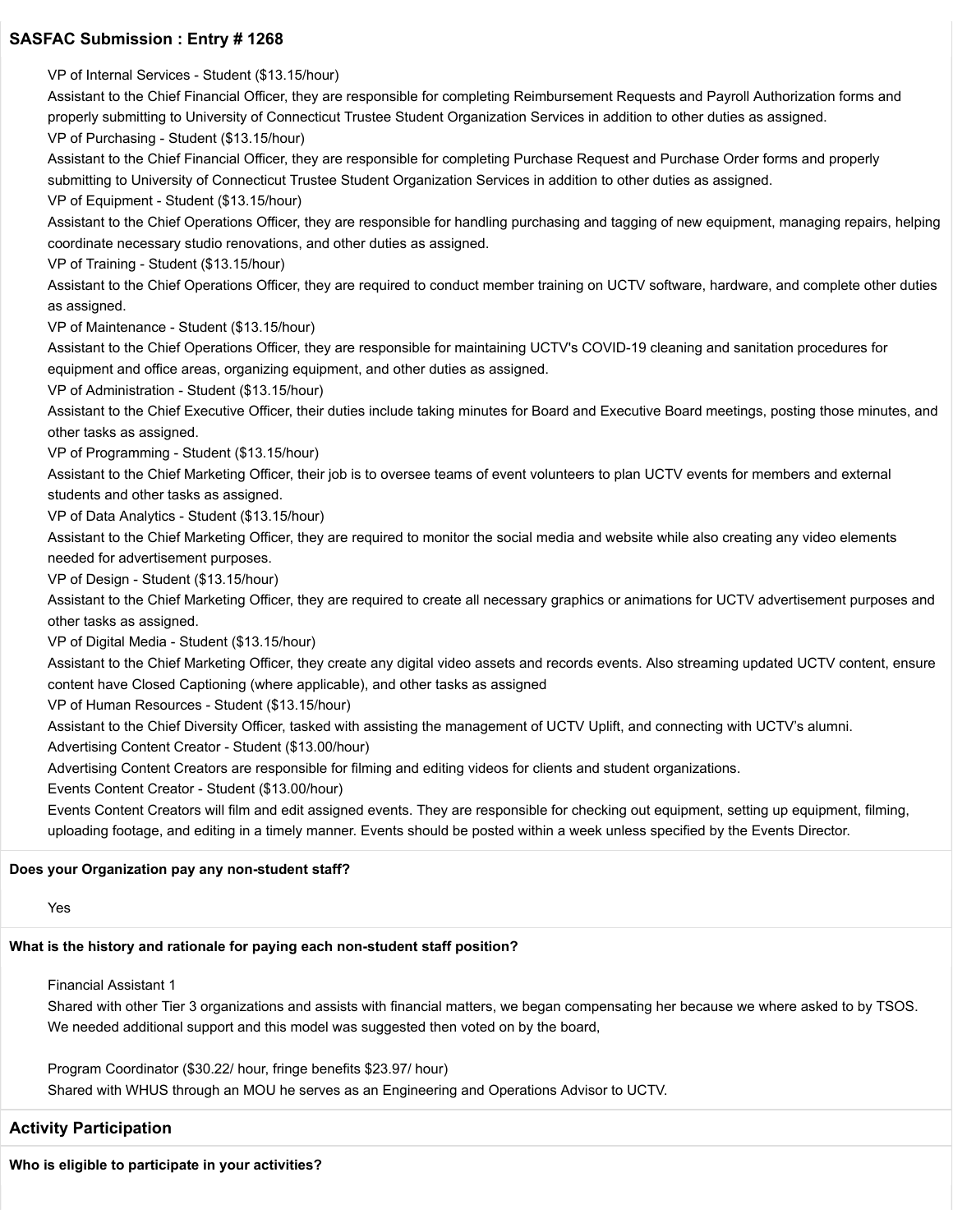VP of Internal Services - Student (\$13.15/hour) Assistant to the Chief Financial Officer, they are responsible for completing Reimbursement Requests and Payroll Authorization forms and properly submitting to University of Connecticut Trustee Student Organization Services in addition to other duties as assigned. VP of Purchasing - Student (\$13.15/hour) Assistant to the Chief Financial Officer, they are responsible for completing Purchase Request and Purchase Order forms and properly submitting to University of Connecticut Trustee Student Organization Services in addition to other duties as assigned. VP of Equipment - Student (\$13.15/hour) Assistant to the Chief Operations Officer, they are responsible for handling purchasing and tagging of new equipment, managing repairs, helping coordinate necessary studio renovations, and other duties as assigned. VP of Training - Student (\$13.15/hour) Assistant to the Chief Operations Officer, they are required to conduct member training on UCTV software, hardware, and complete other duties as assigned. VP of Maintenance - Student (\$13.15/hour) Assistant to the Chief Operations Officer, they are responsible for maintaining UCTV's COVID-19 cleaning and sanitation procedures for equipment and office areas, organizing equipment, and other duties as assigned. VP of Administration - Student (\$13.15/hour) Assistant to the Chief Executive Officer, their duties include taking minutes for Board and Executive Board meetings, posting those minutes, and other tasks as assigned. VP of Programming - Student (\$13.15/hour) Assistant to the Chief Marketing Officer, their job is to oversee teams of event volunteers to plan UCTV events for members and external students and other tasks as assigned. VP of Data Analytics - Student (\$13.15/hour) Assistant to the Chief Marketing Officer, they are required to monitor the social media and website while also creating any video elements needed for advertisement purposes.

VP of Design - Student (\$13.15/hour)

Assistant to the Chief Marketing Officer, they are required to create all necessary graphics or animations for UCTV advertisement purposes and other tasks as assigned.

VP of Digital Media - Student (\$13.15/hour)

Assistant to the Chief Marketing Officer, they create any digital video assets and records events. Also streaming updated UCTV content, ensure content have Closed Captioning (where applicable), and other tasks as assigned

VP of Human Resources - Student (\$13.15/hour)

Assistant to the Chief Diversity Officer, tasked with assisting the management of UCTV Uplift, and connecting with UCTV's alumni.

Advertising Content Creator - Student (\$13.00/hour)

Advertising Content Creators are responsible for filming and editing videos for clients and student organizations.

Events Content Creator - Student (\$13.00/hour)

Events Content Creators will film and edit assigned events. They are responsible for checking out equipment, setting up equipment, filming, uploading footage, and editing in a timely manner. Events should be posted within a week unless specified by the Events Director.

#### **Does your Organization pay any non-student staff?**

#### Yes

#### **What is the history and rationale for paying each non-student staff position?**

Financial Assistant 1

Shared with other Tier 3 organizations and assists with financial matters, we began compensating her because we where asked to by TSOS. We needed additional support and this model was suggested then voted on by the board,

Program Coordinator (\$30.22/ hour, fringe benefits \$23.97/ hour)

Shared with WHUS through an MOU he serves as an Engineering and Operations Advisor to UCTV.

## **Activity Participation**

**Who is eligible to participate in your activities?**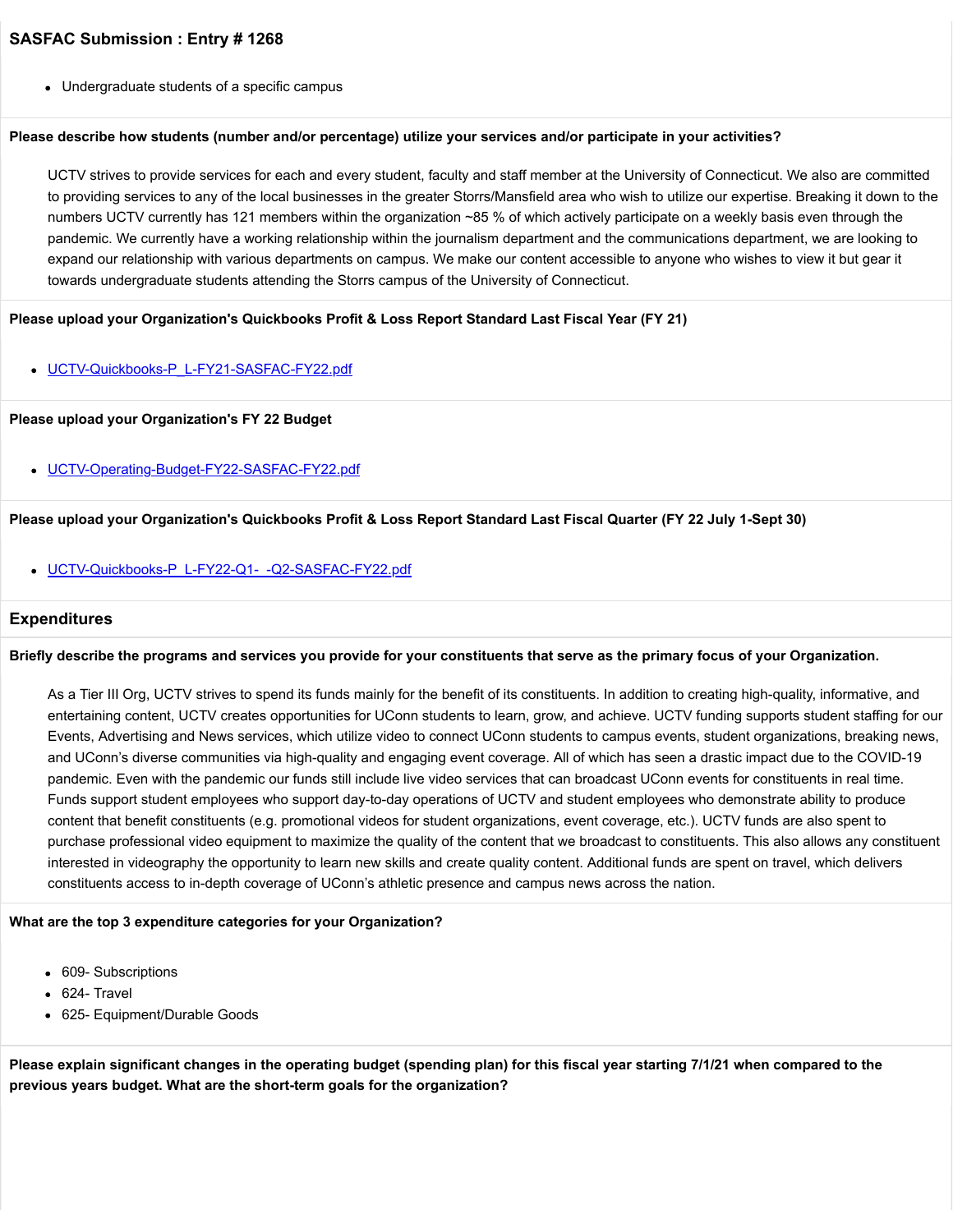Undergraduate students of a specific campus

#### **Please describe how students (number and/or percentage) utilize your services and/or participate in your activities?**

UCTV strives to provide services for each and every student, faculty and staff member at the University of Connecticut. We also are committed to providing services to any of the local businesses in the greater Storrs/Mansfield area who wish to utilize our expertise. Breaking it down to the numbers UCTV currently has 121 members within the organization ~85 % of which actively participate on a weekly basis even through the pandemic. We currently have a working relationship within the journalism department and the communications department, we are looking to expand our relationship with various departments on campus. We make our content accessible to anyone who wishes to view it but gear it towards undergraduate students attending the Storrs campus of the University of Connecticut.

#### **Please upload your Organization's Quickbooks Profit & Loss Report Standard Last Fiscal Year (FY 21)**

[UCTV-Quickbooks-P\\_L-FY21-SASFAC-FY22.pdf](https://trusteeorgsupport.uconn.edu/index.php?gf-download=2022%2F02%2FUCTV-Quickbooks-P_L-FY21-SASFAC-FY22.pdf&form-id=18&field-id=62&hash=613c02b5ef03973b6e9fb37147fecd30eb15a66b9838b51a9f88af1a11b50ace)

#### **Please upload your Organization's FY 22 Budget**

• [UCTV-Operating-Budget-FY22-SASFAC-FY22.pdf](https://trusteeorgsupport.uconn.edu/index.php?gf-download=2022%2F02%2FUCTV-Operating-Budget-FY22-SASFAC-FY22.pdf&form-id=18&field-id=65&hash=b6a2eeda69f8715d89d0a0aa961fe2ffd4c3373567998786ef3de952d20deb49)

#### **Please upload your Organization's Quickbooks Profit & Loss Report Standard Last Fiscal Quarter (FY 22 July 1-Sept 30)**

[UCTV-Quickbooks-P\\_L-FY22-Q1-\\_-Q2-SASFAC-FY22.pdf](https://trusteeorgsupport.uconn.edu/index.php?gf-download=2022%2F02%2FUCTV-Quickbooks-P_L-FY22-Q1-_-Q2-SASFAC-FY22.pdf&form-id=18&field-id=64&hash=c38c05ef485858d86893606186b2d9ff61d718dac5fea9dd95cebdb5f6fec1fd)

#### **Expenditures**

#### **Briefly describe the programs and services you provide for your constituents that serve as the primary focus of your Organization.**

As a Tier III Org, UCTV strives to spend its funds mainly for the benefit of its constituents. In addition to creating high-quality, informative, and entertaining content, UCTV creates opportunities for UConn students to learn, grow, and achieve. UCTV funding supports student staffing for our Events, Advertising and News services, which utilize video to connect UConn students to campus events, student organizations, breaking news, and UConn's diverse communities via high-quality and engaging event coverage. All of which has seen a drastic impact due to the COVID-19 pandemic. Even with the pandemic our funds still include live video services that can broadcast UConn events for constituents in real time. Funds support student employees who support day-to-day operations of UCTV and student employees who demonstrate ability to produce content that benefit constituents (e.g. promotional videos for student organizations, event coverage, etc.). UCTV funds are also spent to purchase professional video equipment to maximize the quality of the content that we broadcast to constituents. This also allows any constituent interested in videography the opportunity to learn new skills and create quality content. Additional funds are spent on travel, which delivers constituents access to in-depth coverage of UConn's athletic presence and campus news across the nation.

#### **What are the top 3 expenditure categories for your Organization?**

- 609- Subscriptions
- 624- Travel
- 625- Equipment/Durable Goods

**Please explain significant changes in the operating budget (spending plan) for this fiscal year starting 7/1/21 when compared to the previous years budget. What are the short-term goals for the organization?**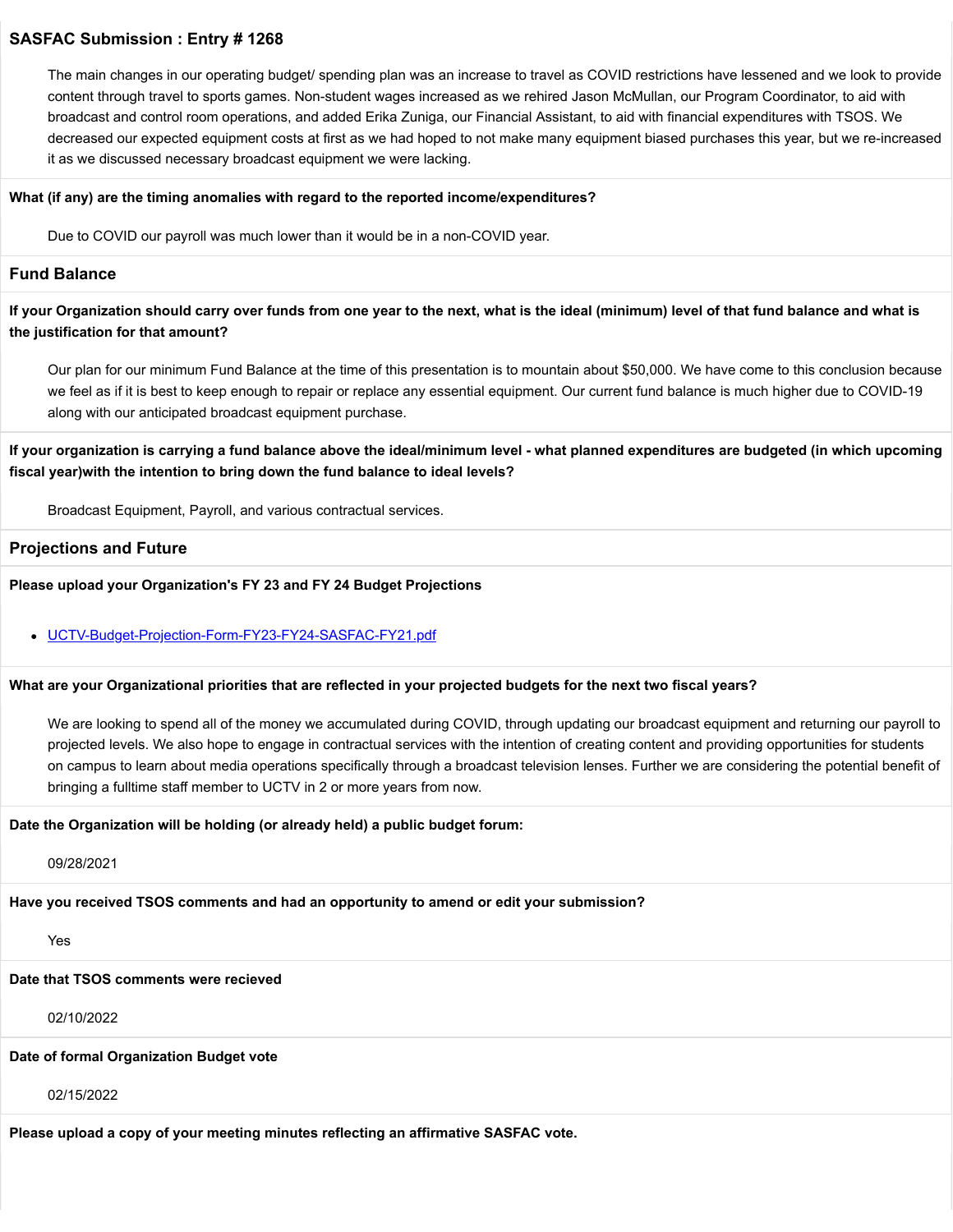The main changes in our operating budget/ spending plan was an increase to travel as COVID restrictions have lessened and we look to provide content through travel to sports games. Non-student wages increased as we rehired Jason McMullan, our Program Coordinator, to aid with broadcast and control room operations, and added Erika Zuniga, our Financial Assistant, to aid with financial expenditures with TSOS. We decreased our expected equipment costs at first as we had hoped to not make many equipment biased purchases this year, but we re-increased it as we discussed necessary broadcast equipment we were lacking.

#### **What (if any) are the timing anomalies with regard to the reported income/expenditures?**

Due to COVID our payroll was much lower than it would be in a non-COVID year.

### **Fund Balance**

**If your Organization should carry over funds from one year to the next, what is the ideal (minimum) level of that fund balance and what is the justification for that amount?**

Our plan for our minimum Fund Balance at the time of this presentation is to mountain about \$50,000. We have come to this conclusion because we feel as if it is best to keep enough to repair or replace any essential equipment. Our current fund balance is much higher due to COVID-19 along with our anticipated broadcast equipment purchase.

### **If your organization is carrying a fund balance above the ideal/minimum level - what planned expenditures are budgeted (in which upcoming fiscal year)with the intention to bring down the fund balance to ideal levels?**

Broadcast Equipment, Payroll, and various contractual services.

#### **Projections and Future**

**Please upload your Organization's FY 23 and FY 24 Budget Projections**

#### [UCTV-Budget-Projection-Form-FY23-FY24-SASFAC-FY21.pdf](https://trusteeorgsupport.uconn.edu/index.php?gf-download=2022%2F02%2FUCTV-Budget-Projection-Form-FY23-FY24-SASFAC-FY21.pdf&form-id=18&field-id=63&hash=80208a6c457c14d625384e0508496b42b40e07952924f7c59b2d475ec8fb5ad1)

#### **What are your Organizational priorities that are reflected in your projected budgets for the next two fiscal years?**

We are looking to spend all of the money we accumulated during COVID, through updating our broadcast equipment and returning our payroll to projected levels. We also hope to engage in contractual services with the intention of creating content and providing opportunities for students on campus to learn about media operations specifically through a broadcast television lenses. Further we are considering the potential benefit of bringing a fulltime staff member to UCTV in 2 or more years from now.

#### **Date the Organization will be holding (or already held) a public budget forum:**

09/28/2021

### **Have you received TSOS comments and had an opportunity to amend or edit your submission?**

Yes

#### **Date that TSOS comments were recieved**

02/10/2022

### **Date of formal Organization Budget vote**

02/15/2022

**Please upload a copy of your meeting minutes reflecting an affirmative SASFAC vote.**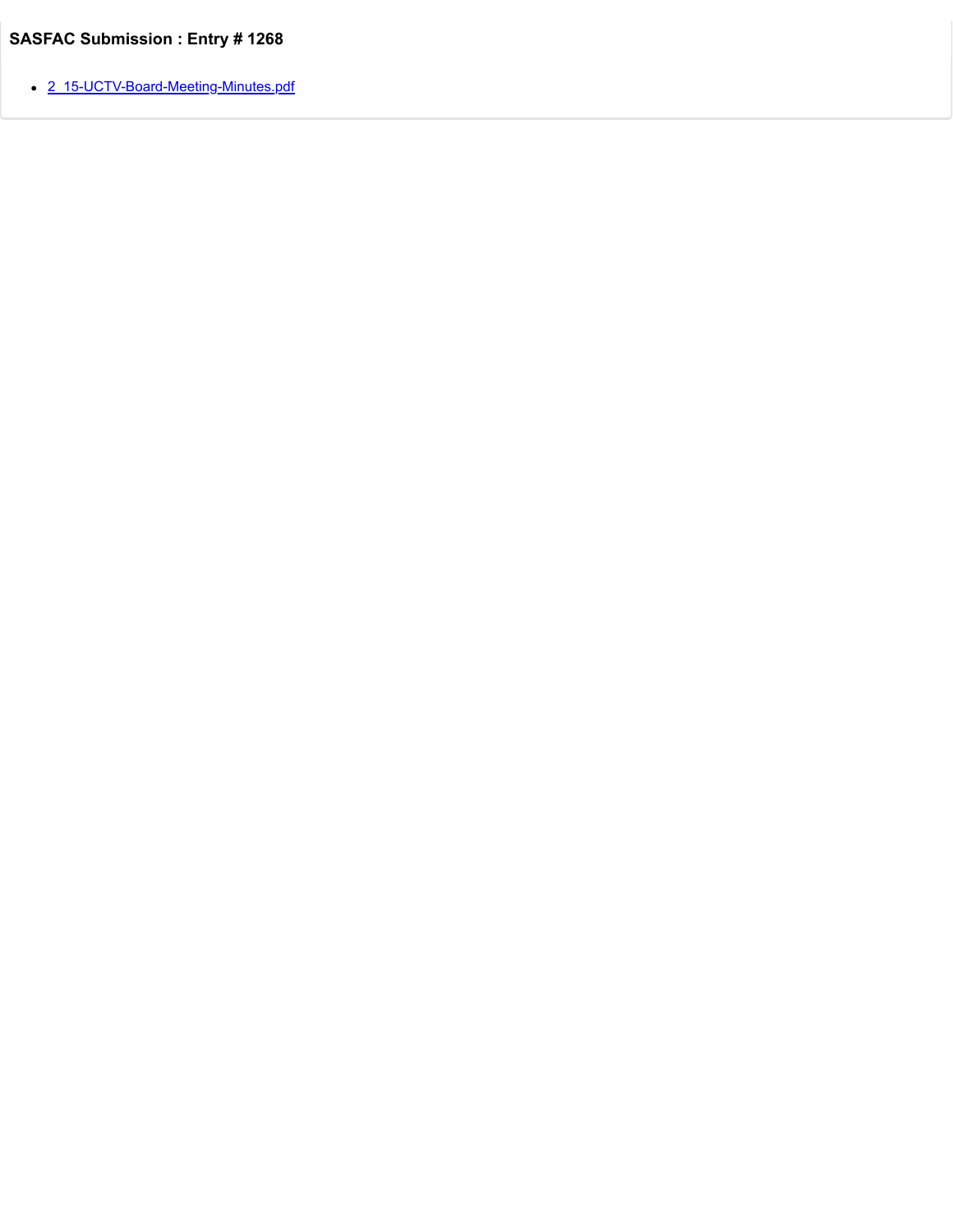• [2\\_15-UCTV-Board-Meeting-Minutes.pdf](https://trusteeorgsupport.uconn.edu/index.php?gf-download=2022%2F02%2F2_15-UCTV-Board-Meeting-Minutes.pdf&form-id=18&field-id=57&hash=e8055855440f12a894537341a61518e2bad7382ec890b60f434b6a74a0cbdb2a)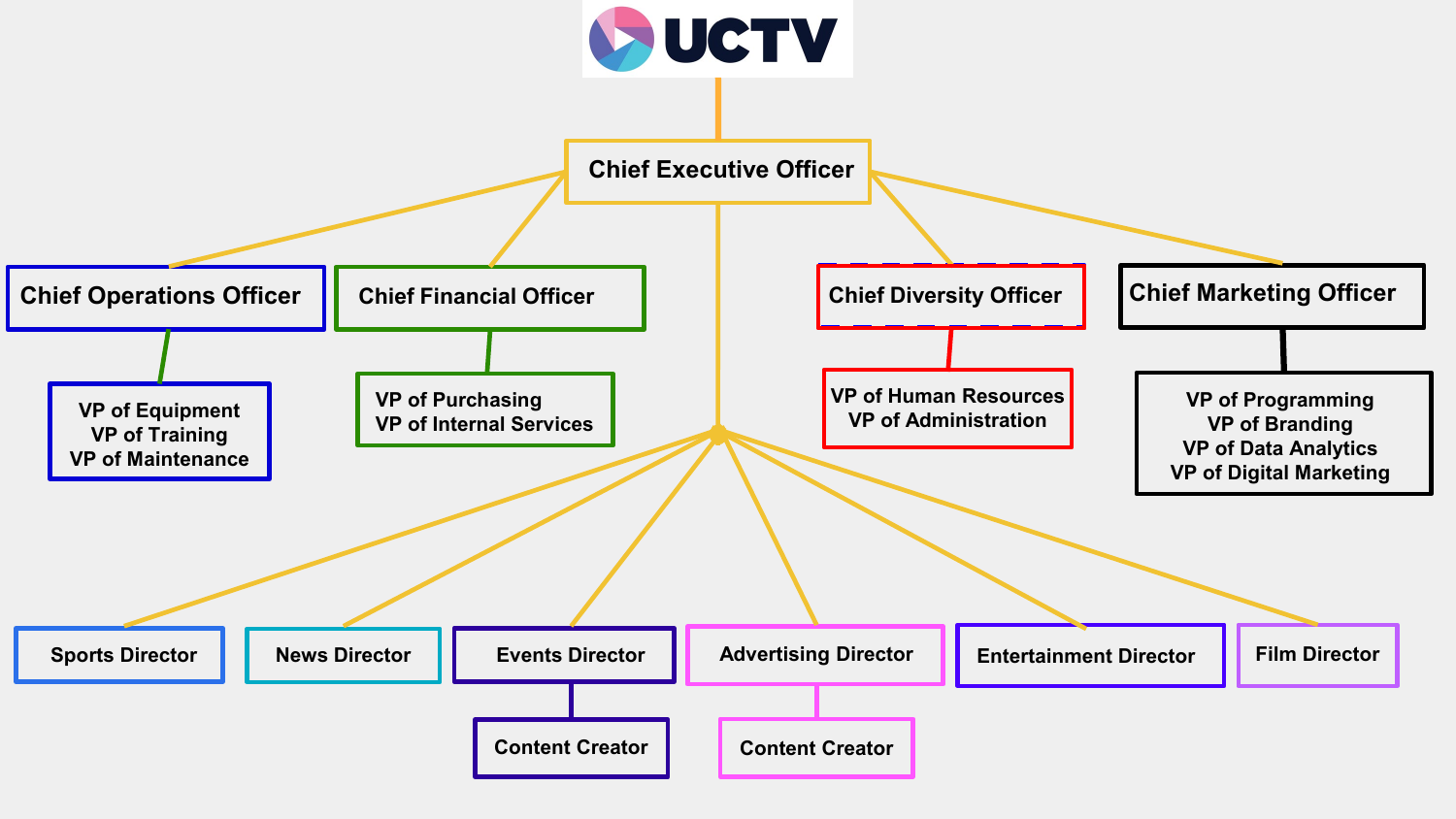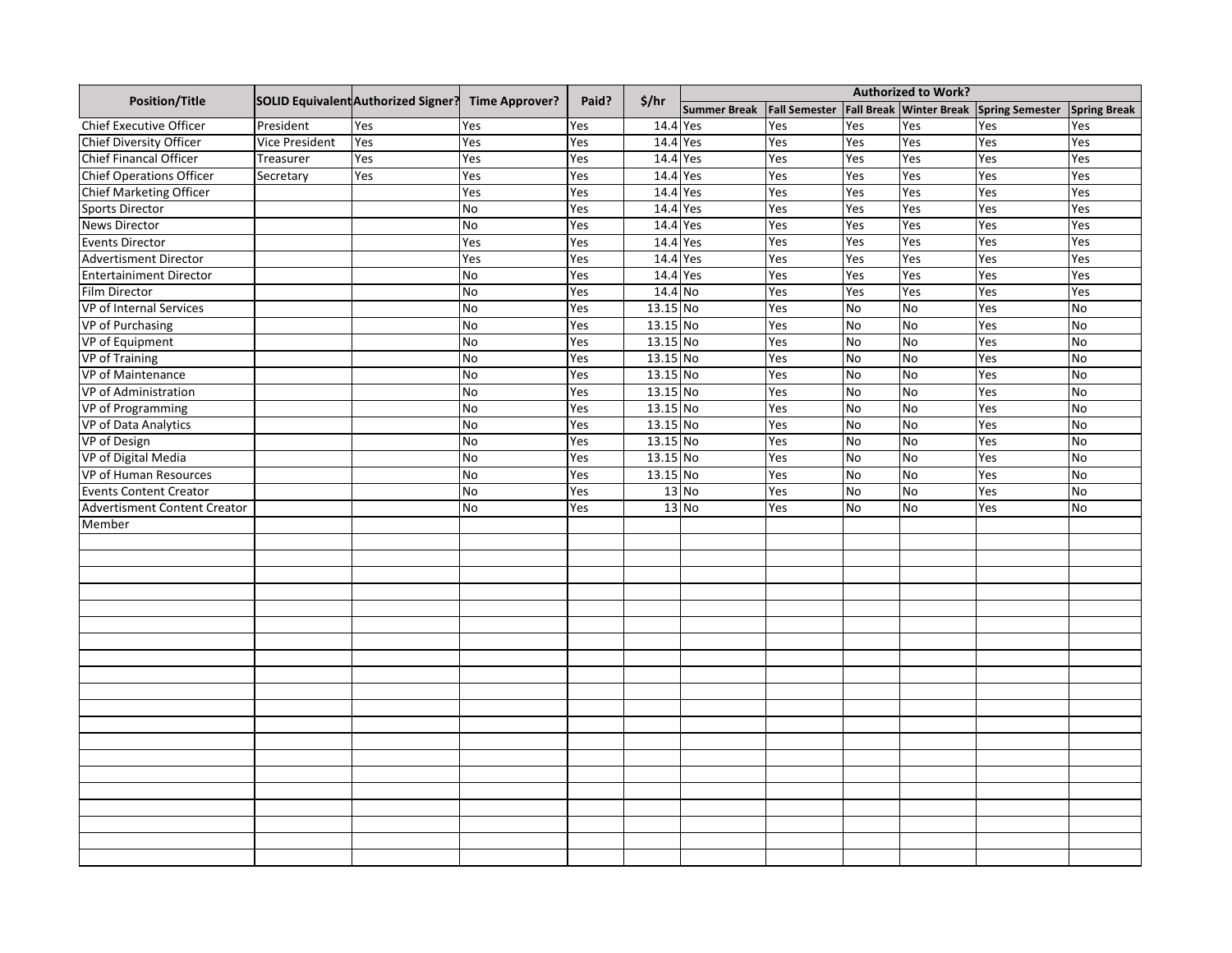|                                     |                | SOLID Equivalent Authorized Signer? | <b>Time Approver?</b> | Paid? | \$/hr    | <b>Authorized to Work?</b> |                      |           |                         |                        |                     |
|-------------------------------------|----------------|-------------------------------------|-----------------------|-------|----------|----------------------------|----------------------|-----------|-------------------------|------------------------|---------------------|
| <b>Position/Title</b>               |                |                                     |                       |       |          | <b>Summer Break</b>        | <b>Fall Semester</b> |           | Fall Break Winter Break | <b>Spring Semester</b> | <b>Spring Break</b> |
| <b>Chief Executive Officer</b>      | President      | Yes                                 | Yes                   | Yes   | 14.4 Yes |                            | Yes                  | Yes       | Yes                     | Yes                    | Yes                 |
| <b>Chief Diversity Officer</b>      | Vice President | Yes                                 | Yes                   | Yes   | 14.4 Yes |                            | Yes                  | Yes       | Yes                     | Yes                    | Yes                 |
| Chief Financal Officer              | Treasurer      | Yes                                 | Yes                   | Yes   | 14.4 Yes |                            | Yes                  | Yes       | Yes                     | Yes                    | Yes                 |
| <b>Chief Operations Officer</b>     | Secretary      | Yes                                 | Yes                   | Yes   | 14.4     | Yes                        | Yes                  | Yes       | Yes                     | Yes                    | Yes                 |
| <b>Chief Marketing Officer</b>      |                |                                     | Yes                   | Yes   | 14.4     | Yes                        | Yes                  | Yes       | Yes                     | Yes                    | Yes                 |
| <b>Sports Director</b>              |                |                                     | No                    | Yes   | 14.4     | Yes                        | Yes                  | Yes       | Yes                     | Yes                    | Yes                 |
| <b>News Director</b>                |                |                                     | No                    | Yes   | 14.4     | Yes                        | Yes                  | Yes       | Yes                     | Yes                    | Yes                 |
| <b>Events Director</b>              |                |                                     | Yes                   | Yes   | 14.4 Yes |                            | Yes                  | Yes       | Yes                     | Yes                    | Yes                 |
| <b>Advertisment Director</b>        |                |                                     | Yes                   | Yes   | 14.4     | Yes                        | Yes                  | Yes       | Yes                     | Yes                    | Yes                 |
| <b>Entertainiment Director</b>      |                |                                     | No                    | Yes   | 14.4 Yes |                            | Yes                  | Yes       | Yes                     | Yes                    | Yes                 |
| <b>Film Director</b>                |                |                                     | No                    | Yes   | 14.4 No  |                            | Yes                  | Yes       | Yes                     | Yes                    | Yes                 |
| <b>VP</b> of Internal Services      |                |                                     | No                    | Yes   | 13.15 No |                            | Yes                  | No        | <b>No</b>               | Yes                    | No                  |
| <b>VP</b> of Purchasing             |                |                                     | <b>No</b>             | Yes   | 13.15 No |                            | Yes                  | No        | <b>No</b>               | Yes                    | No                  |
| VP of Equipment                     |                |                                     | No                    | Yes   | 13.15 No |                            | Yes                  | <b>No</b> | <b>No</b>               | Yes                    | <b>No</b>           |
| <b>VP of Training</b>               |                |                                     | No                    | Yes   | 13.15 No |                            | Yes                  | No        | No                      | Yes                    | No                  |
| VP of Maintenance                   |                |                                     | <b>No</b>             | Yes   | 13.15 No |                            | Yes                  | No        | <b>No</b>               | Yes                    | <b>No</b>           |
| VP of Administration                |                |                                     | No                    | Yes   | 13.15 No |                            | Yes                  | No        | <b>No</b>               | Yes                    | No                  |
| VP of Programming                   |                |                                     | <b>No</b>             | Yes   | 13.15 No |                            | Yes                  | <b>No</b> | No                      | Yes                    | No                  |
| VP of Data Analytics                |                |                                     | <b>No</b>             | Yes   | 13.15 No |                            | Yes                  | <b>No</b> | <b>No</b>               | Yes                    | <b>No</b>           |
| <b>VP</b> of Design                 |                |                                     | No                    | Yes   | 13.15 No |                            | Yes                  | No        | <b>No</b>               | Yes                    | No                  |
| VP of Digital Media                 |                |                                     | <b>No</b>             | Yes   | 13.15 No |                            | Yes                  | <b>No</b> | <b>No</b>               | Yes                    | <b>No</b>           |
| VP of Human Resources               |                |                                     | No                    | Yes   | 13.15 No |                            | Yes                  | <b>No</b> | <b>No</b>               | Yes                    | No                  |
| <b>Events Content Creator</b>       |                |                                     | <b>No</b>             | Yes   | $13$ No  |                            | Yes                  | <b>No</b> | <b>No</b>               | Yes                    | No                  |
| <b>Advertisment Content Creator</b> |                |                                     | <b>No</b>             | Yes   |          | $13$ No                    | Yes                  | No        | <b>No</b>               | Yes                    | <b>No</b>           |
| Member                              |                |                                     |                       |       |          |                            |                      |           |                         |                        |                     |
|                                     |                |                                     |                       |       |          |                            |                      |           |                         |                        |                     |
|                                     |                |                                     |                       |       |          |                            |                      |           |                         |                        |                     |
|                                     |                |                                     |                       |       |          |                            |                      |           |                         |                        |                     |
|                                     |                |                                     |                       |       |          |                            |                      |           |                         |                        |                     |
|                                     |                |                                     |                       |       |          |                            |                      |           |                         |                        |                     |
|                                     |                |                                     |                       |       |          |                            |                      |           |                         |                        |                     |
|                                     |                |                                     |                       |       |          |                            |                      |           |                         |                        |                     |
|                                     |                |                                     |                       |       |          |                            |                      |           |                         |                        |                     |
|                                     |                |                                     |                       |       |          |                            |                      |           |                         |                        |                     |
|                                     |                |                                     |                       |       |          |                            |                      |           |                         |                        |                     |
|                                     |                |                                     |                       |       |          |                            |                      |           |                         |                        |                     |
|                                     |                |                                     |                       |       |          |                            |                      |           |                         |                        |                     |
|                                     |                |                                     |                       |       |          |                            |                      |           |                         |                        |                     |
|                                     |                |                                     |                       |       |          |                            |                      |           |                         |                        |                     |
|                                     |                |                                     |                       |       |          |                            |                      |           |                         |                        |                     |
|                                     |                |                                     |                       |       |          |                            |                      |           |                         |                        |                     |
|                                     |                |                                     |                       |       |          |                            |                      |           |                         |                        |                     |
|                                     |                |                                     |                       |       |          |                            |                      |           |                         |                        |                     |
|                                     |                |                                     |                       |       |          |                            |                      |           |                         |                        |                     |
|                                     |                |                                     |                       |       |          |                            |                      |           |                         |                        |                     |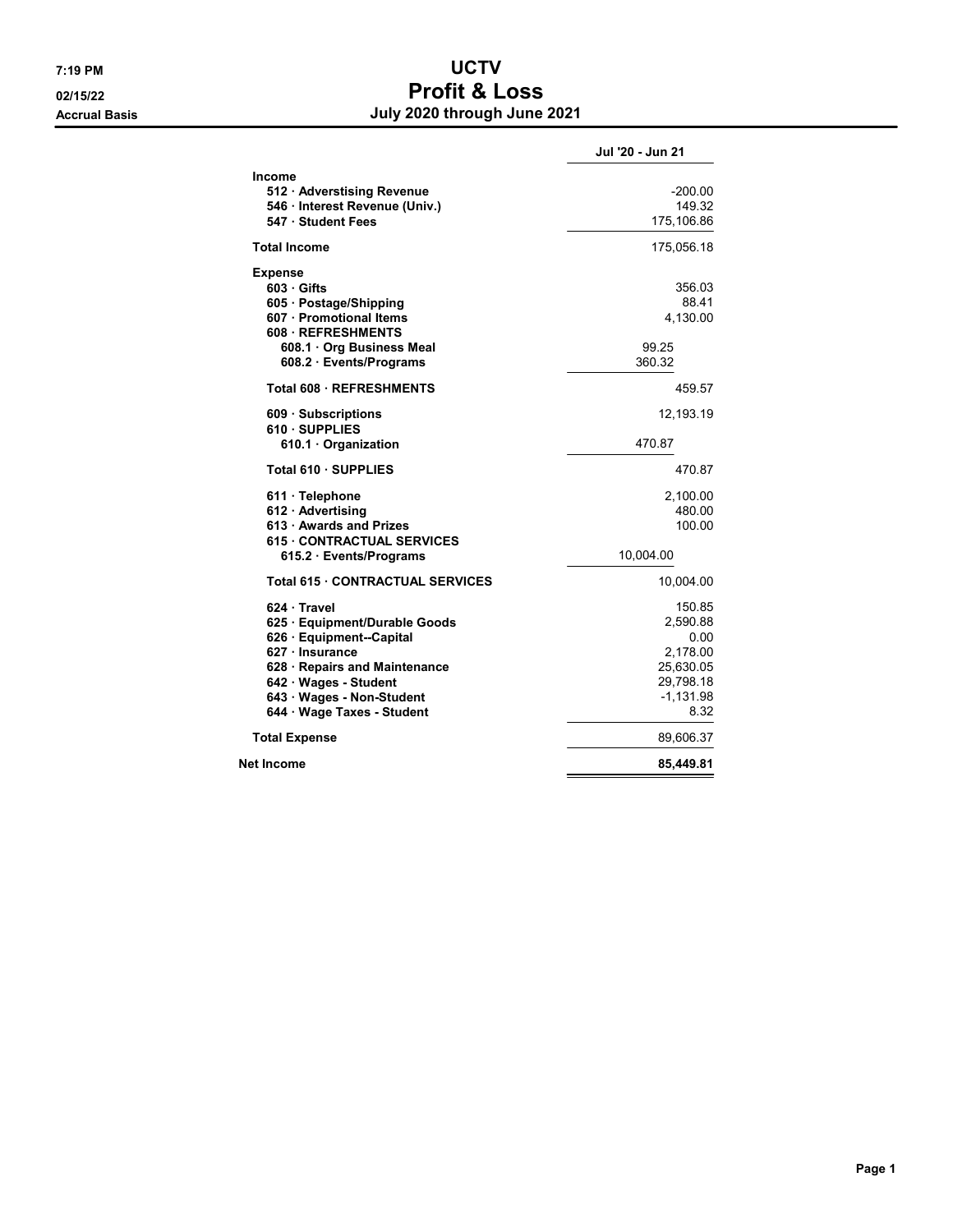## 7:19 PM UCTV  $\frac{0.2}{15/22}$  Profit & Loss Accrual Basis **Accrual Basis July 2020 through June 2021**

|                                                                                                                                                                                                                 | Jul '20 - Jun 21                                                                        |
|-----------------------------------------------------------------------------------------------------------------------------------------------------------------------------------------------------------------|-----------------------------------------------------------------------------------------|
| <b>Income</b><br>512 Adverstising Revenue<br>546 · Interest Revenue (Univ.)<br>547 · Student Fees                                                                                                               | $-200.00$<br>149.32<br>175,106.86                                                       |
| <b>Total Income</b>                                                                                                                                                                                             | 175,056.18                                                                              |
| <b>Expense</b><br>603 Gifts<br>605 · Postage/Shipping<br>607 · Promotional Items<br>608 REFRESHMENTS<br>608.1 Org Business Meal<br>608.2 · Events/Programs                                                      | 356.03<br>88.41<br>4,130.00<br>99.25<br>360.32                                          |
| <b>Total 608 REFRESHMENTS</b>                                                                                                                                                                                   | 459.57                                                                                  |
| 609 Subscriptions<br>610 SUPPLIES<br>610.1 Organization                                                                                                                                                         | 12,193.19<br>470.87                                                                     |
| Total 610 · SUPPLIES                                                                                                                                                                                            | 470.87                                                                                  |
| 611 · Telephone<br>612 Advertising<br>613 · Awards and Prizes<br><b>615 CONTRACTUAL SERVICES</b><br>615.2 · Events/Programs                                                                                     | 2,100.00<br>480.00<br>100.00<br>10,004.00                                               |
| <b>Total 615 CONTRACTUAL SERVICES</b>                                                                                                                                                                           | 10,004.00                                                                               |
| 624 Travel<br>625 · Equipment/Durable Goods<br>626 · Equipment--Capital<br>627 · Insurance<br>628 · Repairs and Maintenance<br>642 · Wages - Student<br>643 · Wages - Non-Student<br>644 · Wage Taxes - Student | 150.85<br>2,590.88<br>0.00<br>2,178.00<br>25,630.05<br>29,798.18<br>$-1,131.98$<br>8.32 |
| <b>Total Expense</b>                                                                                                                                                                                            | 89,606.37                                                                               |
| Net Income                                                                                                                                                                                                      | 85,449.81                                                                               |
|                                                                                                                                                                                                                 |                                                                                         |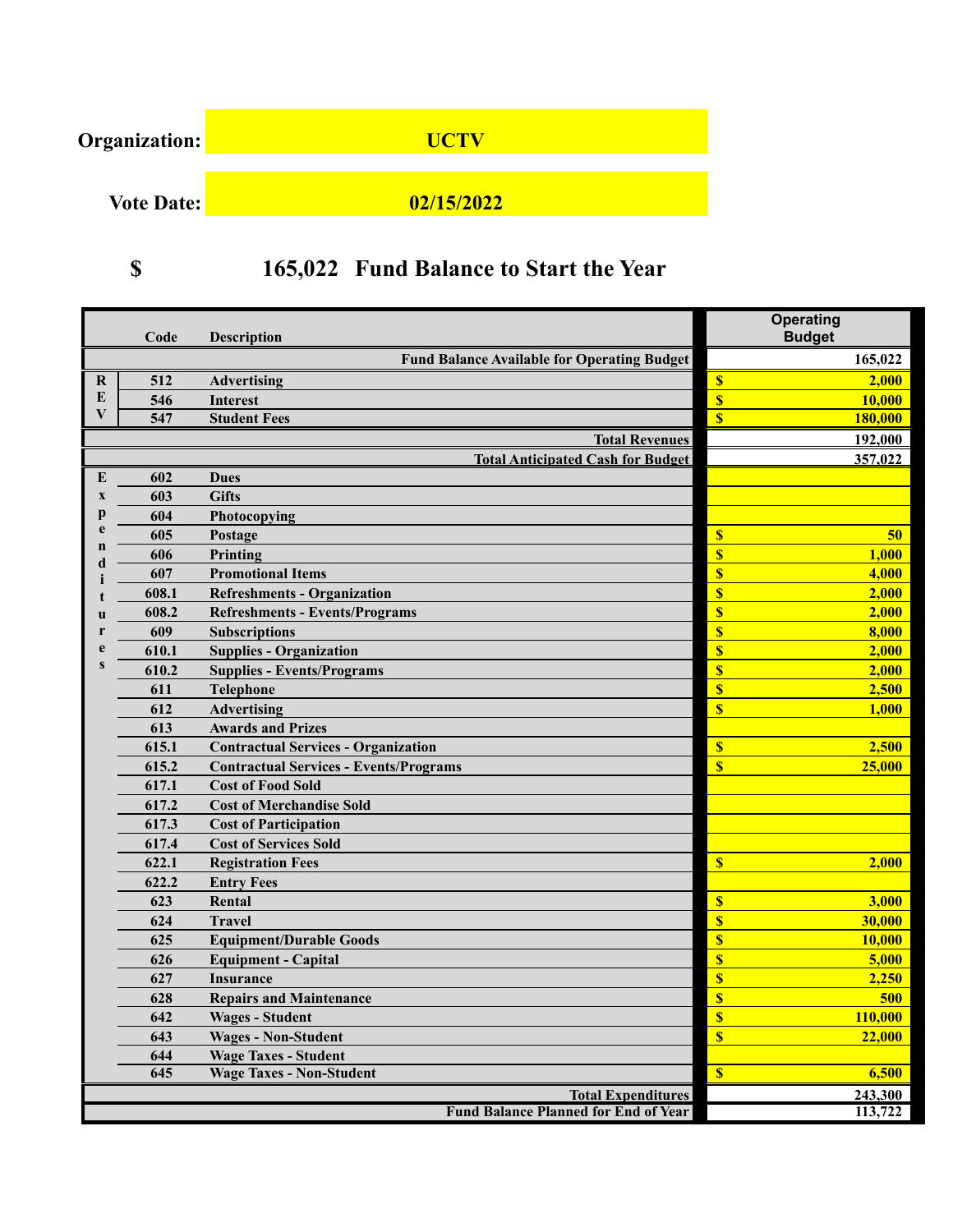

# **(\$ 165,022) Fund Balance to Start the Year**

|             | Code  | <b>Description</b>                                 | <b>Operating</b><br><b>Budget</b> |         |
|-------------|-------|----------------------------------------------------|-----------------------------------|---------|
|             |       | <b>Fund Balance Available for Operating Budget</b> |                                   | 165,022 |
| $\bf{R}$    | 512   | <b>Advertising</b>                                 | \$                                | 2,000   |
| E           | 546   | <b>Interest</b>                                    | $\boldsymbol{\mathsf{s}}$         | 10,000  |
| V           | 547   | <b>Student Fees</b>                                | $\overline{\mathbf{s}}$           | 180,000 |
|             |       | <b>Total Revenues</b>                              |                                   | 192,000 |
|             |       | <b>Total Anticipated Cash for Budget</b>           |                                   | 357,022 |
| E           | 602   | <b>Dues</b>                                        |                                   |         |
| $\mathbf x$ | 603   | <b>Gifts</b>                                       |                                   |         |
| р           | 604   | Photocopying                                       |                                   |         |
| e           | 605   | Postage                                            | $\boldsymbol{\mathsf{s}}$         | 50      |
| n           | 606   | Printing                                           | $\overline{\mathbf{S}}$           | 1,000   |
|             | 607   | <b>Promotional Items</b>                           | $\overline{\mathbf{S}}$           | 4,000   |
|             | 608.1 | <b>Refreshments - Organization</b>                 | $\overline{\mathbf{S}}$           | 2,000   |
|             | 608.2 | <b>Refreshments - Events/Programs</b>              | \$                                | 2,000   |
|             | 609   | <b>Subscriptions</b>                               | $\overline{\mathbf{S}}$           | 8,000   |
|             | 610.1 | <b>Supplies - Organization</b>                     | $\overline{\mathbf{S}}$           | 2,000   |
| S           | 610.2 | <b>Supplies - Events/Programs</b>                  | $\overline{\mathbf{S}}$           | 2,000   |
|             | 611   | <b>Telephone</b>                                   | \$                                | 2,500   |
|             | 612   | Advertising                                        | $\mathbf{s}$                      | 1,000   |
|             | 613   | <b>Awards and Prizes</b>                           |                                   |         |
|             | 615.1 | <b>Contractual Services - Organization</b>         | $\boldsymbol{\mathsf{S}}$         | 2,500   |
|             | 615.2 | <b>Contractual Services - Events/Programs</b>      | $\overline{\mathbf{s}}$           | 25,000  |
|             | 617.1 | <b>Cost of Food Sold</b>                           |                                   |         |
|             | 617.2 | <b>Cost of Merchandise Sold</b>                    |                                   |         |
|             | 617.3 | <b>Cost of Participation</b>                       |                                   |         |
|             | 617.4 | <b>Cost of Services Sold</b>                       |                                   |         |
|             | 622.1 | <b>Registration Fees</b>                           | $\boldsymbol{s}$                  | 2,000   |
|             | 622.2 | <b>Entry Fees</b>                                  |                                   |         |
|             | 623   | Rental                                             | $\boldsymbol{\mathsf{s}}$         | 3,000   |
|             | 624   | <b>Travel</b>                                      | $\boldsymbol{s}$                  | 30,000  |
|             | 625   | <b>Equipment/Durable Goods</b>                     | $\overline{\mathbf{S}}$           | 10,000  |
|             | 626   | <b>Equipment - Capital</b>                         | \$                                | 5,000   |
|             | 627   | <b>Insurance</b>                                   | \$                                | 2,250   |
|             | 628   | <b>Repairs and Maintenance</b>                     | $\overline{\mathbf{S}}$           | 500     |
|             | 642   | <b>Wages - Student</b>                             | $\boldsymbol{\mathsf{S}}$         | 110,000 |
|             | 643   | <b>Wages - Non-Student</b>                         | $\sqrt{\frac{1}{2}}$              | 22,000  |
|             | 644   | <b>Wage Taxes - Student</b>                        |                                   |         |
|             | 645   | <b>Wage Taxes - Non-Student</b>                    | $\overline{\mathbf{S}}$           | 6,500   |
|             |       | <b>Total Expenditures</b>                          |                                   | 243,300 |
|             |       | <b>Fund Balance Planned for End of Year</b>        |                                   | 113,722 |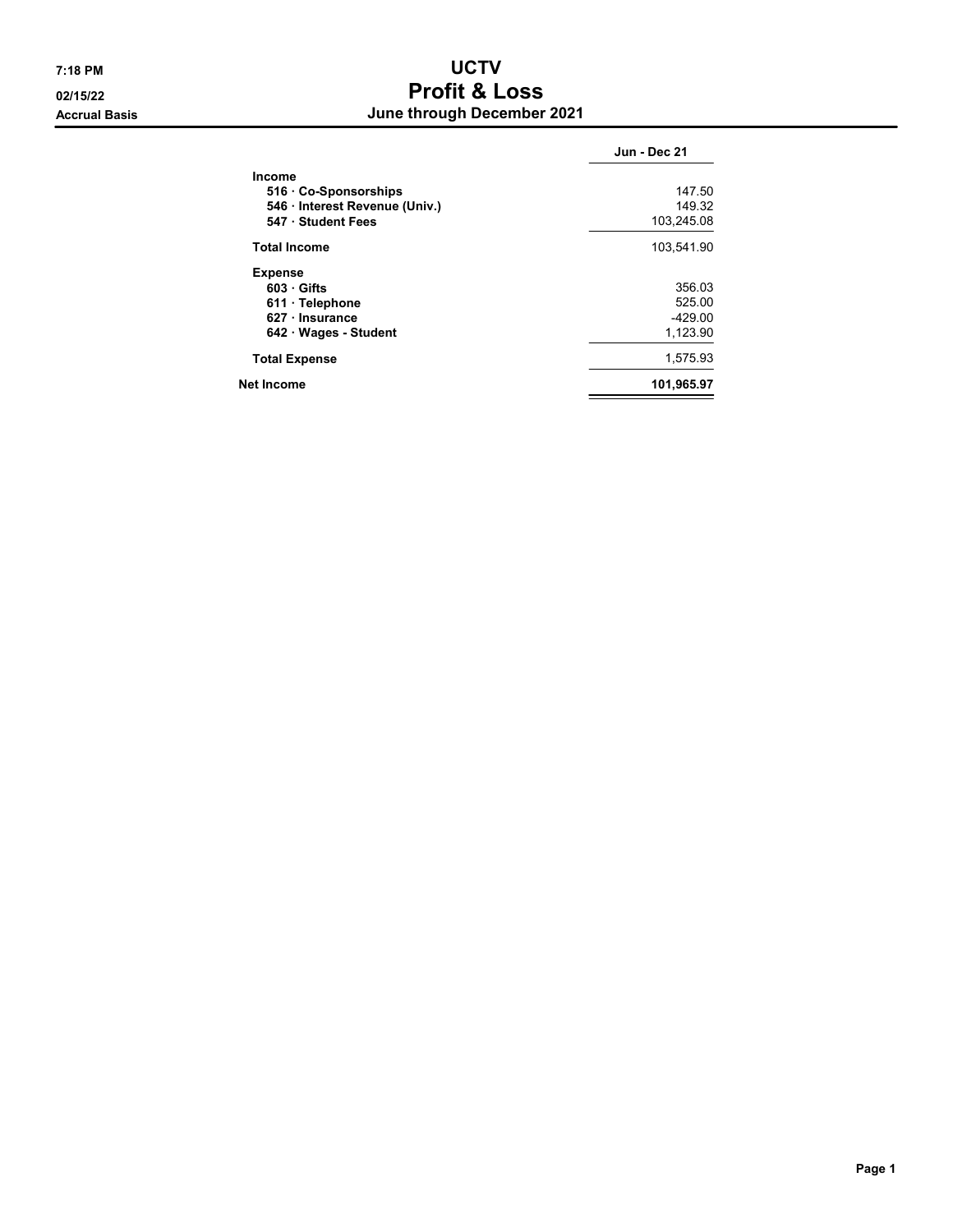## 7:18 PM UCTV 02/15/22 Profit & Loss Accrual Basis **Accrual Basis Accrual Basis Accrual Basis Accrual Basis Accrual Basis Accrual Basis Accrual Basis Accrual Basis Accrual Basis Accrual Basis Accrual Basis Accretised Accretised Accretise**

|                                | Jun - Dec 21 |
|--------------------------------|--------------|
| <b>Income</b>                  |              |
| 516 Co-Sponsorships            | 147.50       |
| 546 · Interest Revenue (Univ.) | 149.32       |
| 547 Student Fees               | 103,245.08   |
| <b>Total Income</b>            | 103,541.90   |
| <b>Expense</b>                 |              |
| $603$ Gifts                    | 356.03       |
| 611 · Telephone                | 525.00       |
| $627 \cdot$ Insurance          | $-429.00$    |
| 642 Wages - Student            | 1,123.90     |
| <b>Total Expense</b>           | 1,575.93     |
| Net Income                     | 101,965.97   |
|                                |              |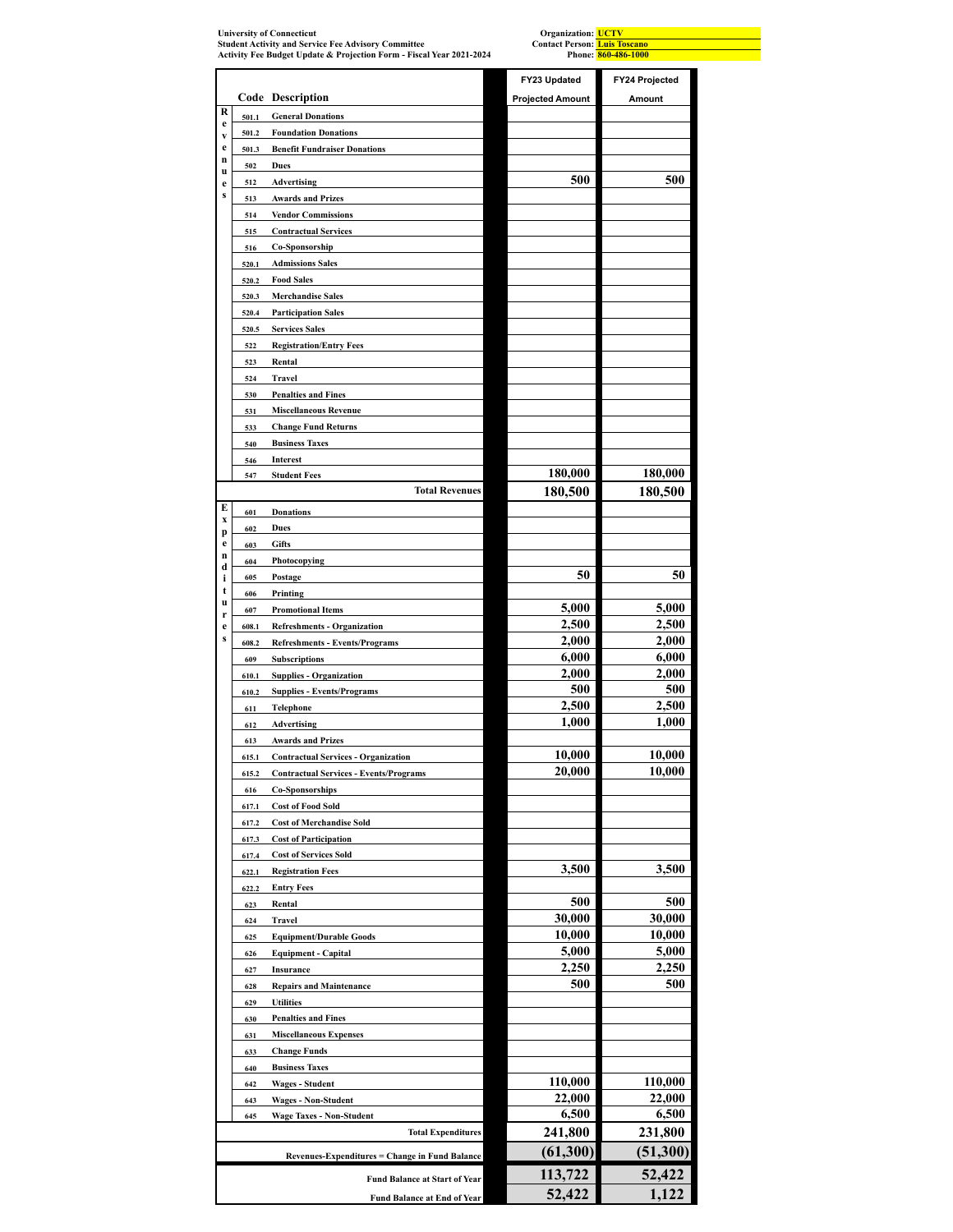| <b>University of Connecticut</b><br><b>Student Activity and Service Fee Advisory Committee</b> |              |                                                                                             | Organization: UCTV<br><b>Contact Person:</b> Luis Toscano<br>Phone: 860-486-1000 |                       |  |  |
|------------------------------------------------------------------------------------------------|--------------|---------------------------------------------------------------------------------------------|----------------------------------------------------------------------------------|-----------------------|--|--|
|                                                                                                |              | Activity Fee Budget Update & Projection Form - Fiscal Year 2021-2024                        |                                                                                  |                       |  |  |
|                                                                                                |              |                                                                                             | FY23 Updated                                                                     | <b>FY24 Projected</b> |  |  |
| R                                                                                              |              | Code Description                                                                            | <b>Projected Amount</b>                                                          | Amount                |  |  |
| e                                                                                              | 501.1        | <b>General Donations</b>                                                                    |                                                                                  |                       |  |  |
| V<br>e                                                                                         | 501.2        | <b>Foundation Donations</b>                                                                 |                                                                                  |                       |  |  |
| n                                                                                              | 501.3<br>502 | <b>Benefit Fundraiser Donations</b><br><b>Dues</b>                                          |                                                                                  |                       |  |  |
| u<br>e                                                                                         | 512          | <b>Advertising</b>                                                                          | 500                                                                              | 500                   |  |  |
| S                                                                                              | 513          | <b>Awards and Prizes</b>                                                                    |                                                                                  |                       |  |  |
|                                                                                                | 514          | <b>Vendor Commissions</b>                                                                   |                                                                                  |                       |  |  |
|                                                                                                | 515          | <b>Contractual Services</b>                                                                 |                                                                                  |                       |  |  |
|                                                                                                | 516          | Co-Sponsorship                                                                              |                                                                                  |                       |  |  |
|                                                                                                | 520.1        | <b>Admissions Sales</b>                                                                     |                                                                                  |                       |  |  |
|                                                                                                | 520.2        | <b>Food Sales</b>                                                                           |                                                                                  |                       |  |  |
|                                                                                                | 520.3        | <b>Merchandise Sales</b>                                                                    |                                                                                  |                       |  |  |
|                                                                                                | 520.4        | <b>Participation Sales</b>                                                                  |                                                                                  |                       |  |  |
|                                                                                                | 520.5        | <b>Services Sales</b>                                                                       |                                                                                  |                       |  |  |
|                                                                                                | 522          | <b>Registration/Entry Fees</b>                                                              |                                                                                  |                       |  |  |
|                                                                                                | 523          | Rental                                                                                      |                                                                                  |                       |  |  |
|                                                                                                | 524          | Travel                                                                                      |                                                                                  |                       |  |  |
|                                                                                                | 530          | <b>Penalties and Fines</b>                                                                  |                                                                                  |                       |  |  |
|                                                                                                | 531<br>533   | <b>Miscellaneous Revenue</b><br><b>Change Fund Returns</b>                                  |                                                                                  |                       |  |  |
|                                                                                                | 540          | <b>Business Taxes</b>                                                                       |                                                                                  |                       |  |  |
|                                                                                                | 546          | Interest                                                                                    |                                                                                  |                       |  |  |
|                                                                                                | 547          | <b>Student Fees</b>                                                                         | 180,000                                                                          | 180,000               |  |  |
|                                                                                                |              | <b>Total Revenues</b>                                                                       | 180,500                                                                          | 180,500               |  |  |
| E                                                                                              | 601          | <b>Donations</b>                                                                            |                                                                                  |                       |  |  |
| X                                                                                              | 602          | Dues                                                                                        |                                                                                  |                       |  |  |
| p<br>e                                                                                         | 603          | <b>Gifts</b>                                                                                |                                                                                  |                       |  |  |
| n                                                                                              | 604          | Photocopying                                                                                |                                                                                  |                       |  |  |
| d<br>i                                                                                         | 605          | Postage                                                                                     | 50                                                                               | 50                    |  |  |
| t                                                                                              | 606          | Printing                                                                                    |                                                                                  |                       |  |  |
| u<br>r                                                                                         | 607          | <b>Promotional Items</b>                                                                    | 5,000                                                                            | 5,000                 |  |  |
| e                                                                                              | 608.1        | <b>Refreshments - Organization</b>                                                          | 2,500                                                                            | 2,500                 |  |  |
| S                                                                                              | 608.2        | <b>Refreshments - Events/Programs</b>                                                       | 2,000                                                                            | 2,000                 |  |  |
|                                                                                                | 609          | <b>Subscriptions</b>                                                                        | 6,000                                                                            | 6,000                 |  |  |
|                                                                                                | 610.1        | <b>Supplies - Organization</b>                                                              | 2,000                                                                            | 2,000                 |  |  |
|                                                                                                | 610.2        | <b>Supplies - Events/Programs</b>                                                           | 500                                                                              | 500                   |  |  |
|                                                                                                | 611          | Telephone                                                                                   | 2,500                                                                            | 2,500                 |  |  |
|                                                                                                | 612          | <b>Advertising</b>                                                                          | 1,000                                                                            | 1,000                 |  |  |
|                                                                                                | 613          | <b>Awards and Prizes</b>                                                                    | 10,000                                                                           | 10,000                |  |  |
|                                                                                                | 615.1        | <b>Contractual Services - Organization</b><br><b>Contractual Services - Events/Programs</b> | 20,000                                                                           | 10,000                |  |  |
|                                                                                                | 615.2<br>616 | <b>Co-Sponsorships</b>                                                                      |                                                                                  |                       |  |  |
|                                                                                                | 617.1        | <b>Cost of Food Sold</b>                                                                    |                                                                                  |                       |  |  |
|                                                                                                | 617.2        | <b>Cost of Merchandise Sold</b>                                                             |                                                                                  |                       |  |  |
|                                                                                                | 617.3        | <b>Cost of Participation</b>                                                                |                                                                                  |                       |  |  |
|                                                                                                | 617.4        | <b>Cost of Services Sold</b>                                                                |                                                                                  |                       |  |  |
|                                                                                                | 622.1        | <b>Registration Fees</b>                                                                    | 3,500                                                                            | 3,500                 |  |  |
|                                                                                                | 622.2        | <b>Entry Fees</b>                                                                           |                                                                                  |                       |  |  |
|                                                                                                | 623          | Rental                                                                                      | 500                                                                              | 500                   |  |  |
|                                                                                                | 624          | Travel                                                                                      | 30,000                                                                           | 30,000                |  |  |
|                                                                                                | 625          | <b>Equipment/Durable Goods</b>                                                              | 10,000                                                                           | 10,000                |  |  |
|                                                                                                | 626          | <b>Equipment - Capital</b>                                                                  | 5,000                                                                            | 5,000                 |  |  |
|                                                                                                | 627          | Insurance                                                                                   | 2,250                                                                            | 2,250                 |  |  |
|                                                                                                | 628          | <b>Repairs and Maintenance</b>                                                              | 500                                                                              | 500                   |  |  |
|                                                                                                | 629          | <b>Utilities</b>                                                                            |                                                                                  |                       |  |  |
|                                                                                                | 630          | <b>Penalties and Fines</b>                                                                  |                                                                                  |                       |  |  |
|                                                                                                | 631          | <b>Miscellaneous Expenses</b>                                                               |                                                                                  |                       |  |  |
|                                                                                                | 633          | <b>Change Funds</b>                                                                         |                                                                                  |                       |  |  |
|                                                                                                | 640<br>642   | <b>Business Taxes</b><br><b>Wages - Student</b>                                             | 110,000                                                                          | 110,000               |  |  |
|                                                                                                | 643          | <b>Wages - Non-Student</b>                                                                  | 22,000                                                                           | 22,000                |  |  |
|                                                                                                | 645          | <b>Wage Taxes - Non-Student</b>                                                             | 6,500                                                                            | 6,500                 |  |  |
|                                                                                                |              | <b>Total Expenditures</b>                                                                   | 241,800                                                                          | 231,800               |  |  |
|                                                                                                |              |                                                                                             | (61, 300)                                                                        | (51,300)              |  |  |
|                                                                                                |              | Revenues-Expenditures = Change in Fund Balance                                              |                                                                                  |                       |  |  |
|                                                                                                |              | <b>Fund Balance at Start of Year</b>                                                        | 113,722                                                                          | 52,422                |  |  |
|                                                                                                |              | <b>Fund Balance at End of Year</b>                                                          | 52,422                                                                           | 1,122                 |  |  |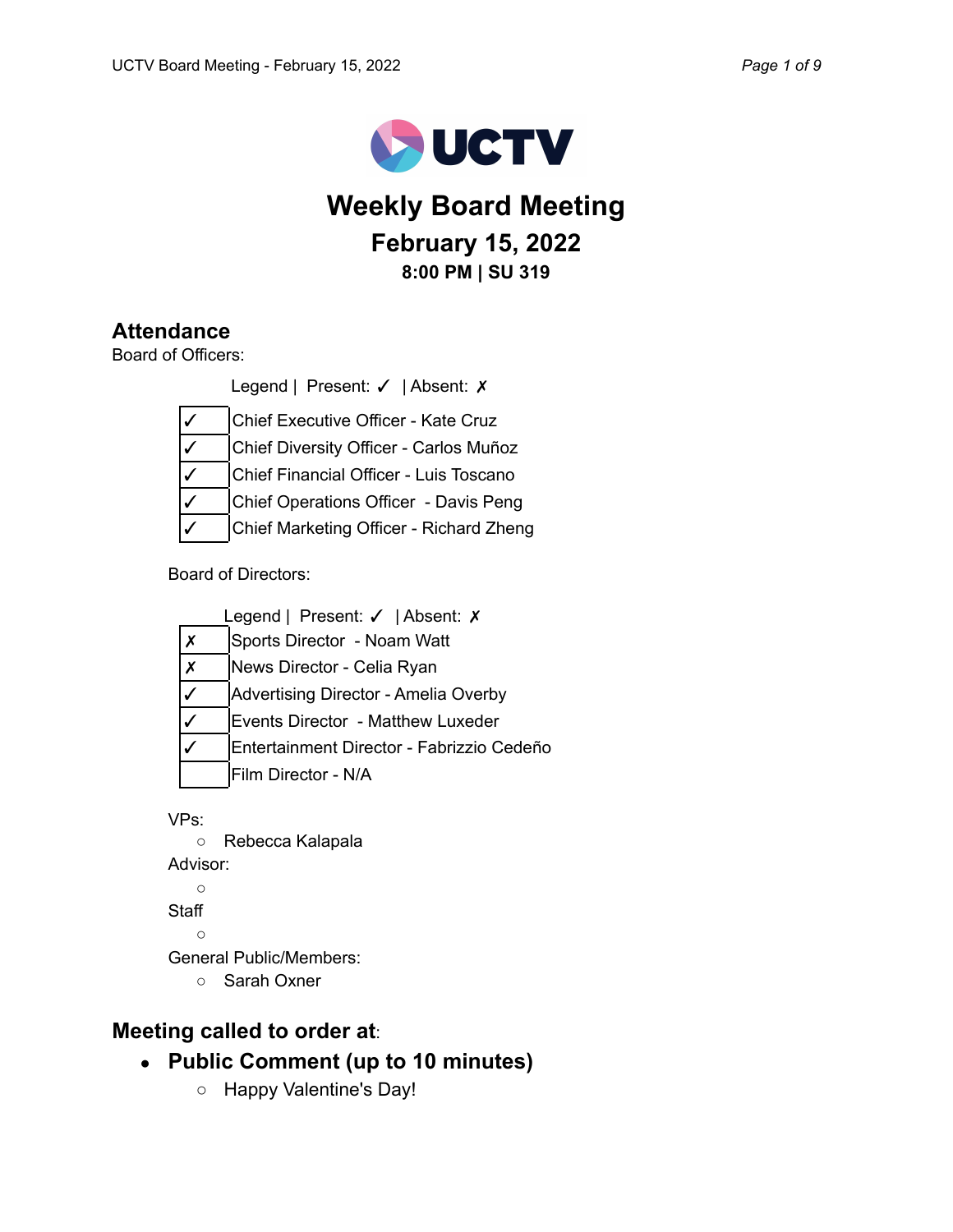

# **Weekly Board Meeting February 15, 2022 8:00 PM | SU 319**

## **Attendance**

Board of Officers:

Legend | Present: √ | Absent: X

Chief Executive Officer - Kate Cruz

✓ Chief Diversity Officer - Carlos Muñoz

Chief Financial Officer - Luis Toscano

Chief Operations Officer - Davis Peng

Chief Marketing Officer - Richard Zheng

Board of Directors:

| Legend   Present: $\checkmark$   Absent: $\checkmark$ |   |                                           |  |  |  |  |
|-------------------------------------------------------|---|-------------------------------------------|--|--|--|--|
|                                                       |   | Sports Director - Noam Watt               |  |  |  |  |
|                                                       | Х | News Director - Celia Ryan                |  |  |  |  |
|                                                       |   | Advertising Director - Amelia Overby      |  |  |  |  |
|                                                       |   | Events Director - Matthew Luxeder         |  |  |  |  |
|                                                       |   | Entertainment Director - Fabrizzio Cedeño |  |  |  |  |
|                                                       |   | Film Director - N/A                       |  |  |  |  |
|                                                       |   |                                           |  |  |  |  |

VPs:

○ Rebecca Kalapala Advisor:  $\circ$ **Staff**  $\bigcap$ General Public/Members: ○ Sarah Oxner

## **Meeting called to order at**:

- **● Public Comment (up to 10 minutes)**
	- Happy Valentine's Day!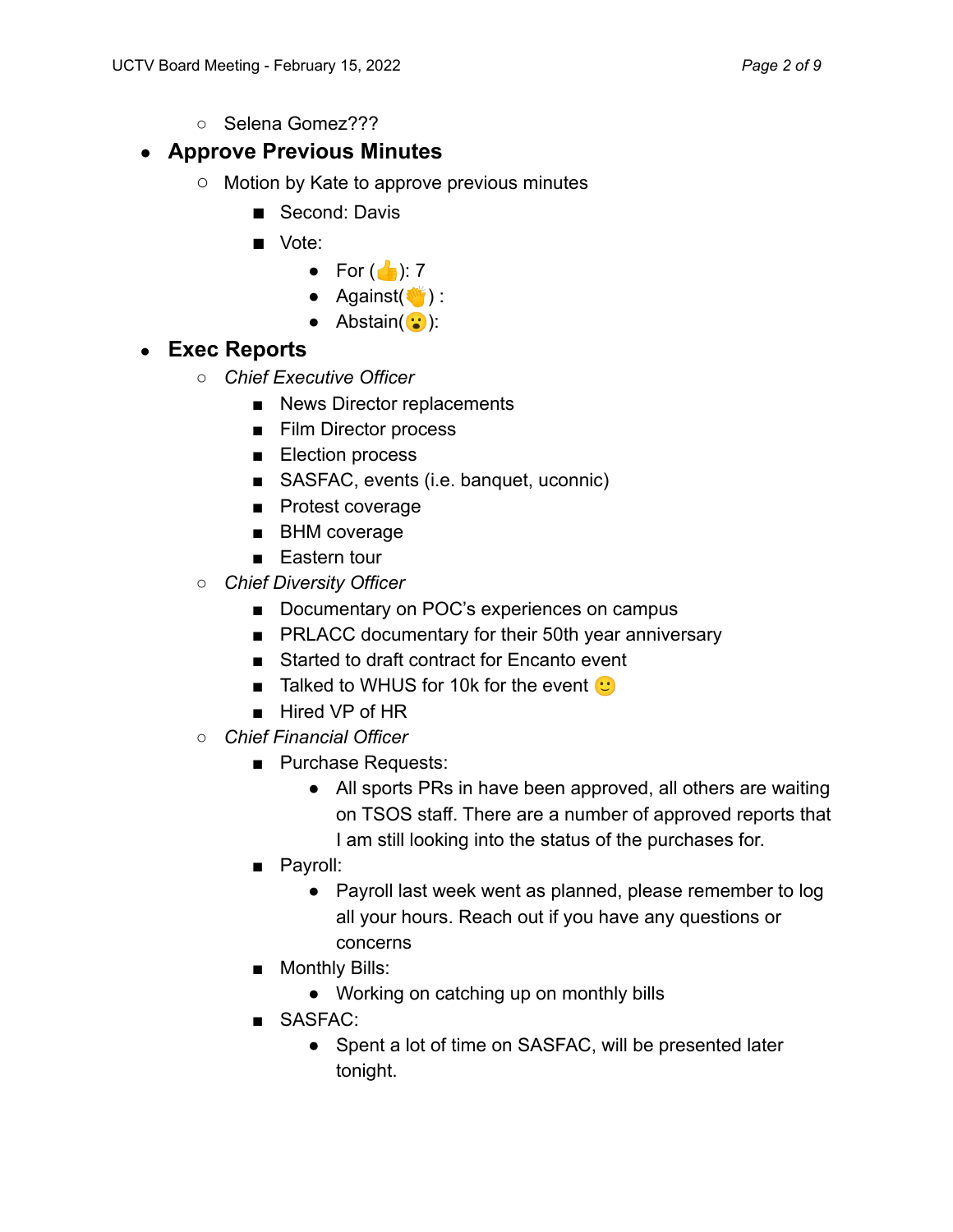○ Selena Gomez???

## ● **Approve Previous Minutes**

- **○** Motion by Kate to approve previous minutes
	- Second: Davis
	- **■** Vote:
		- For  $\left(\begin{array}{c} \bullet \\ \bullet \end{array}\right)$ : 7
		- $\bullet$  Against( $\bullet$ ):
		- $\bullet$  Abstain( $\dddot{\bullet}$ ):

## ● **Exec Reports**

- *○ Chief Executive Officer*
	- News Director replacements
	- Film Director process
	- Election process
	- SASFAC, events (i.e. banquet, uconnic)
	- Protest coverage
	- BHM coverage
	- Eastern tour
- *Chief Diversity Officer*
	- Documentary on POC's experiences on campus
	- PRLACC documentary for their 50th year anniversary
	- Started to draft contract for Encanto event
	- **■** Talked to WHUS for 10k for the event  $\mathbf{C}$
	- Hired VP of HR
- *○ Chief Financial Officer*
	- Purchase Requests:
		- All sports PRs in have been approved, all others are waiting on TSOS staff. There are a number of approved reports that I am still looking into the status of the purchases for.
	- Payroll:
		- Payroll last week went as planned, please remember to log all your hours. Reach out if you have any questions or concerns
	- Monthly Bills:
		- Working on catching up on monthly bills
	- SASFAC:
		- Spent a lot of time on SASFAC, will be presented later tonight.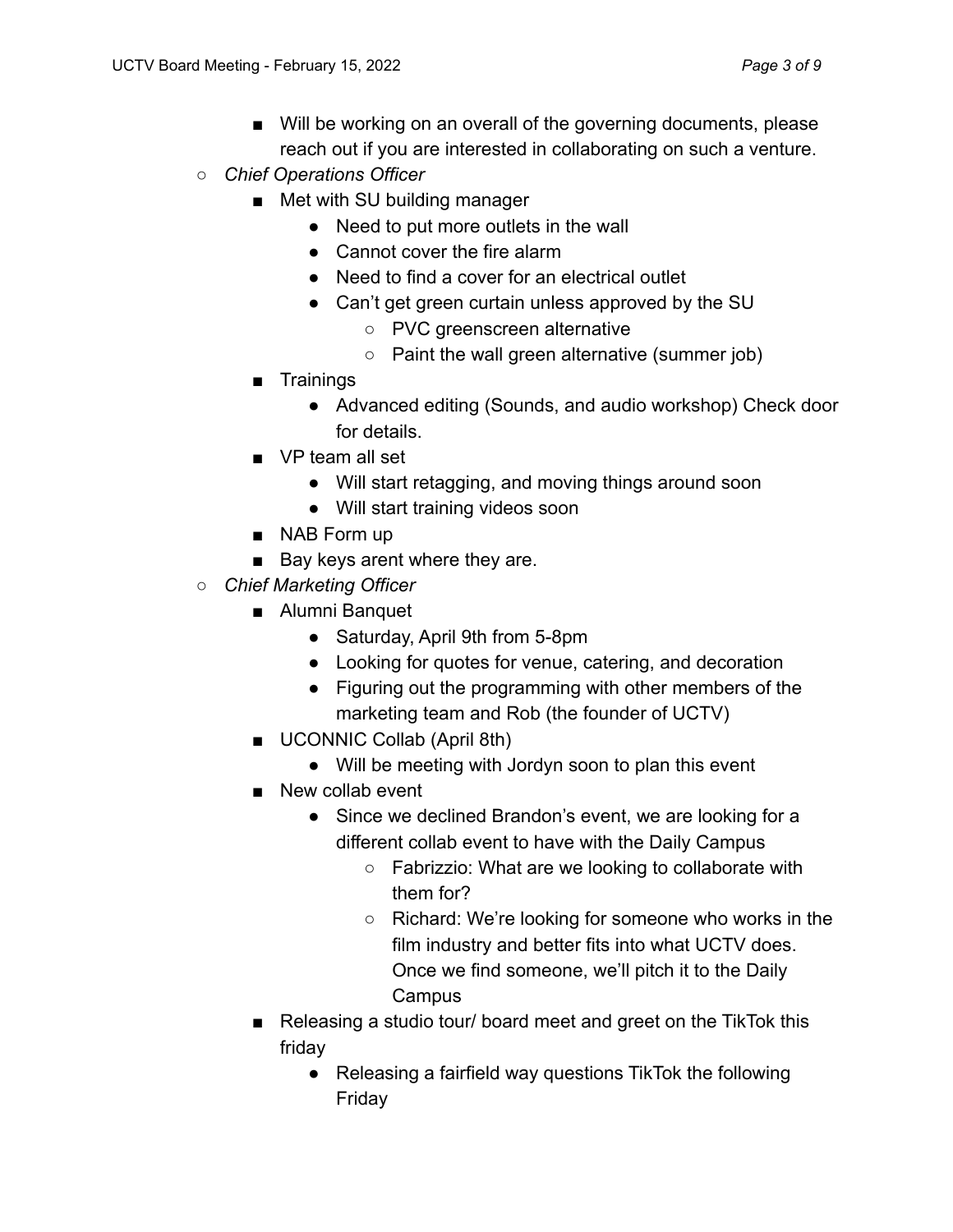- Will be working on an overall of the governing documents, please reach out if you are interested in collaborating on such a venture.
- *Chief Operations Officer*
	- Met with SU building manager
		- Need to put more outlets in the wall
		- Cannot cover the fire alarm
		- Need to find a cover for an electrical outlet
		- Can't get green curtain unless approved by the SU
			- PVC greenscreen alternative
			- Paint the wall green alternative (summer job)
	- Trainings
		- Advanced editing (Sounds, and audio workshop) Check door for details.
	- VP team all set
		- Will start retagging, and moving things around soon
		- Will start training videos soon
	- NAB Form up
	- Bay keys arent where they are.
- *Chief Marketing Officer*
	- Alumni Banquet
		- Saturday, April 9th from 5-8pm
		- Looking for quotes for venue, catering, and decoration
		- Figuring out the programming with other members of the marketing team and Rob (the founder of UCTV)
	- UCONNIC Collab (April 8th)
		- Will be meeting with Jordyn soon to plan this event
	- New collab event
		- Since we declined Brandon's event, we are looking for a different collab event to have with the Daily Campus
			- Fabrizzio: What are we looking to collaborate with them for?
			- Richard: We're looking for someone who works in the film industry and better fits into what UCTV does. Once we find someone, we'll pitch it to the Daily **Campus**
	- Releasing a studio tour/ board meet and greet on the TikTok this friday
		- Releasing a fairfield way questions TikTok the following Friday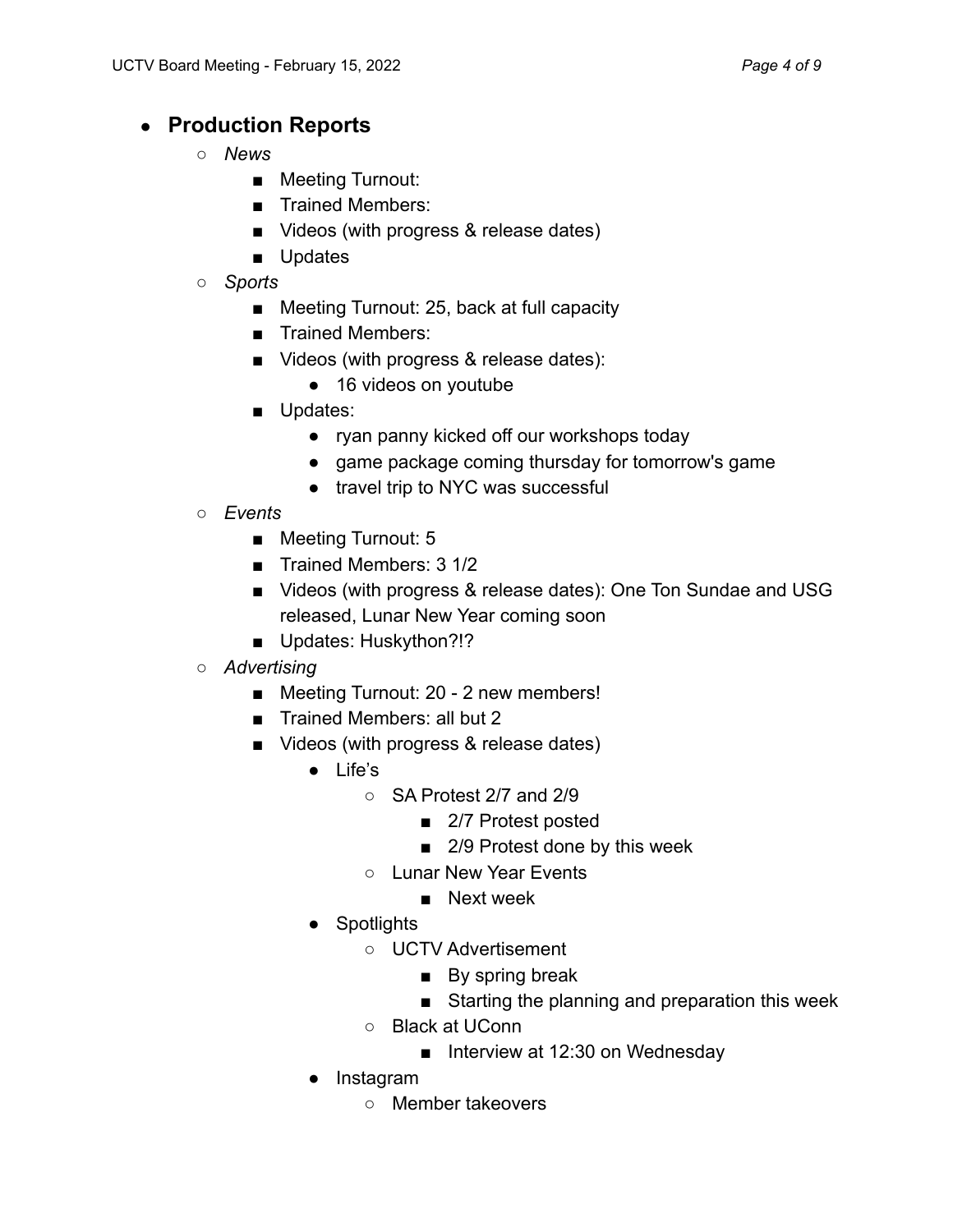## ● **Production Reports**

- *○ News*
	- Meeting Turnout:
	- Trained Members:
	- Videos (with progress & release dates)
	- Updates
- *Sports*
	- Meeting Turnout: 25, back at full capacity
	- Trained Members:
	- Videos (with progress & release dates):
		- 16 videos on youtube
	- Updates:
		- ryan panny kicked off our workshops today
		- game package coming thursday for tomorrow's game
		- travel trip to NYC was successful
- *Events*
	- Meeting Turnout: 5
	- Trained Members: 3 1/2
	- Videos (with progress & release dates): One Ton Sundae and USG released, Lunar New Year coming soon
	- Updates: Huskython?!?
- *Advertising*
	- Meeting Turnout: 20 2 new members!
	- Trained Members: all but 2
	- Videos (with progress & release dates)
		- Life's
			- SA Protest 2/7 and 2/9
				- 2/7 Protest posted
				- 2/9 Protest done by this week
			- Lunar New Year Events
				- Next week
		- Spotlights
			- UCTV Advertisement
				- By spring break
				- Starting the planning and preparation this week
			- Black at UConn
				- Interview at 12:30 on Wednesday
		- Instagram
			- Member takeovers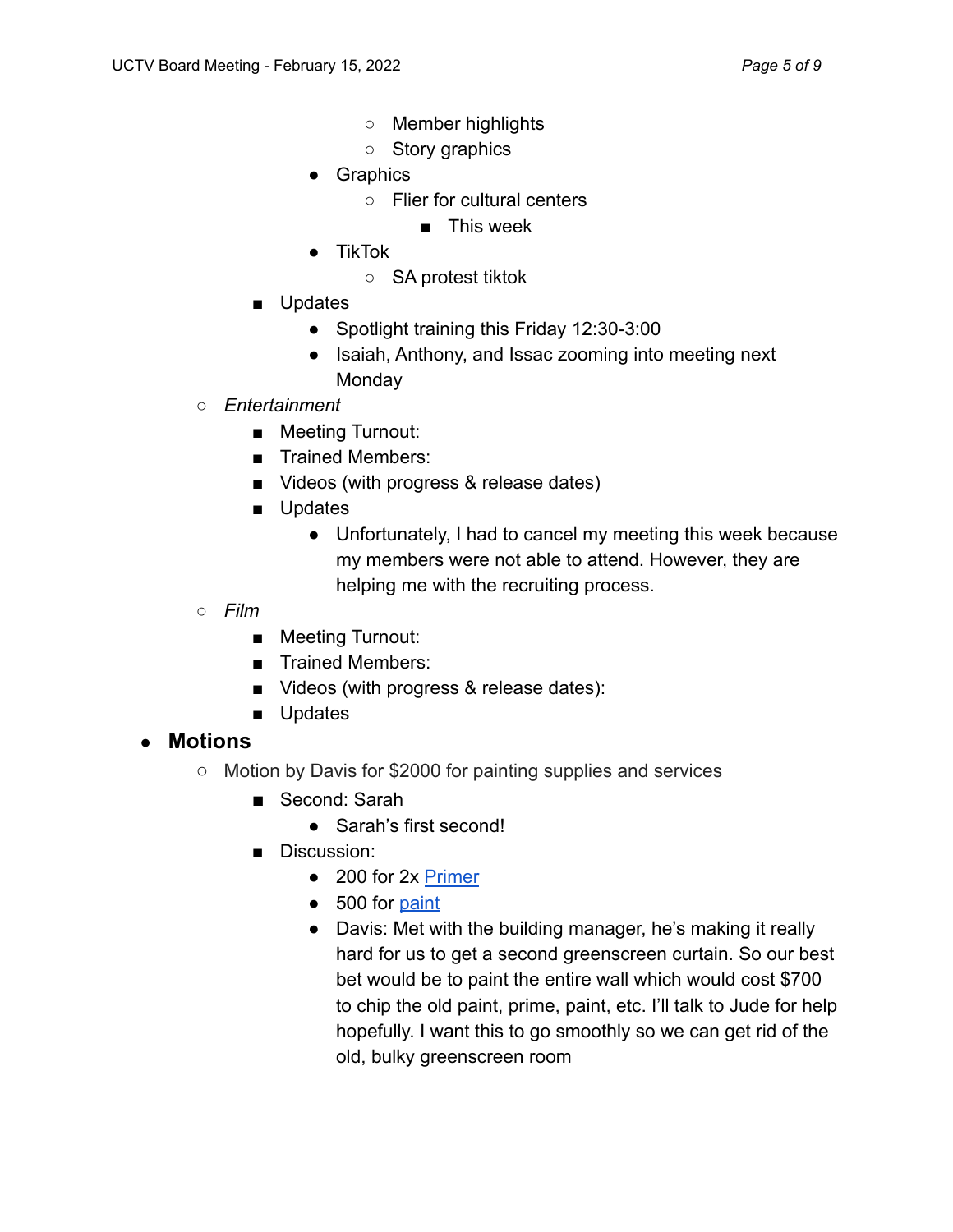- Member highlights
- Story graphics
- Graphics
	- Flier for cultural centers
		- This week
- TikTok
	- SA protest tiktok
- Updates
	- Spotlight training this Friday 12:30-3:00
	- Isaiah, Anthony, and Issac zooming into meeting next **Monday**
- *Entertainment*
	- Meeting Turnout:
	- Trained Members:
	- Videos (with progress & release dates)
	- Updates
		- Unfortunately, I had to cancel my meeting this week because my members were not able to attend. However, they are helping me with the recruiting process.
- *Film*
	- Meeting Turnout:
	- Trained Members:
	- Videos (with progress & release dates):
	- Updates
- **Motions**
	- Motion by Davis for \$2000 for painting supplies and services
		- Second: Sarah
			- Sarah's first second!
		- Discussion:
			- 200 for 2x Primer
			- 500 for paint
			- Davis: Met with the building manager, he's making it really hard for us to get a second greenscreen curtain. So our best bet would be to paint the entire wall which would cost \$700 to chip the old paint, prime, paint, etc. I'll talk to Jude for help hopefully. I want this to go smoothly so we can get rid of the old, bulky greenscreen room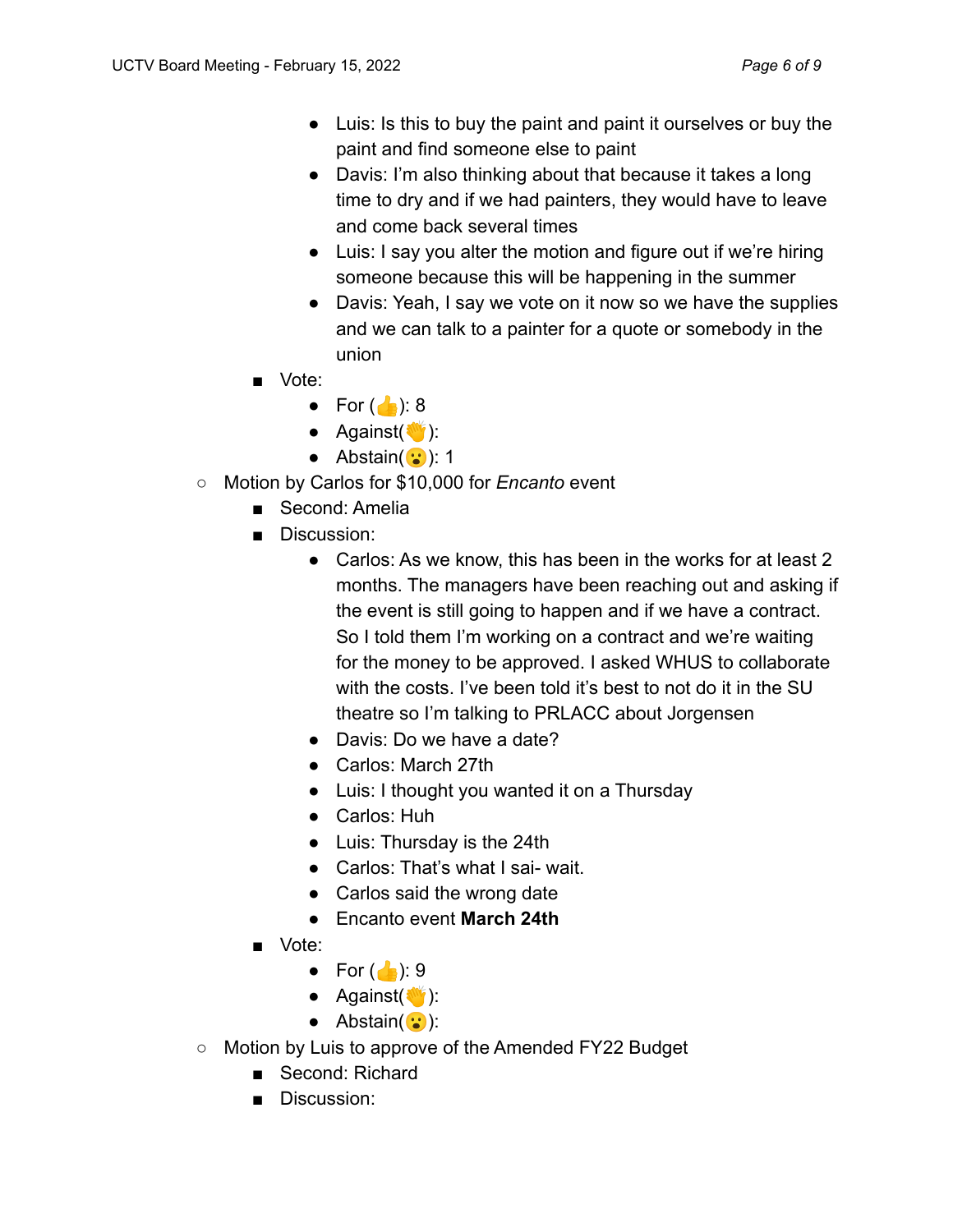- Luis: Is this to buy the paint and paint it ourselves or buy the paint and find someone else to paint
- Davis: I'm also thinking about that because it takes a long time to dry and if we had painters, they would have to leave and come back several times
- Luis: I say you alter the motion and figure out if we're hiring someone because this will be happening in the summer
- Davis: Yeah, I say we vote on it now so we have the supplies and we can talk to a painter for a quote or somebody in the union
- Vote:
	- For  $\binom{1}{2}$ : 8
	- $\bullet$  Against( $\bullet$ ):
	- Abstain $(v: )$  1
- Motion by Carlos for \$10,000 for *Encanto* event
	- Second: Amelia
	- Discussion:
		- Carlos: As we know, this has been in the works for at least 2 months. The managers have been reaching out and asking if the event is still going to happen and if we have a contract. So I told them I'm working on a contract and we're waiting for the money to be approved. I asked WHUS to collaborate with the costs. I've been told it's best to not do it in the SU theatre so I'm talking to PRLACC about Jorgensen
		- Davis: Do we have a date?
		- Carlos: March 27th
		- Luis: I thought you wanted it on a Thursday
		- Carlos: Huh
		- Luis: Thursday is the 24th
		- Carlos: That's what I sai- wait.
		- Carlos said the wrong date
		- Encanto event **March 24th**
	- Vote:
		- For  $\left(\begin{array}{c} \bullet \\ \bullet \end{array}\right)$ : 9
		- $\bullet$  Against( $\bullet$ ):
		- $\bullet$  Abstain( $\ddots$ ):
- Motion by Luis to approve of the Amended FY22 Budget
	- Second: Richard
	- Discussion: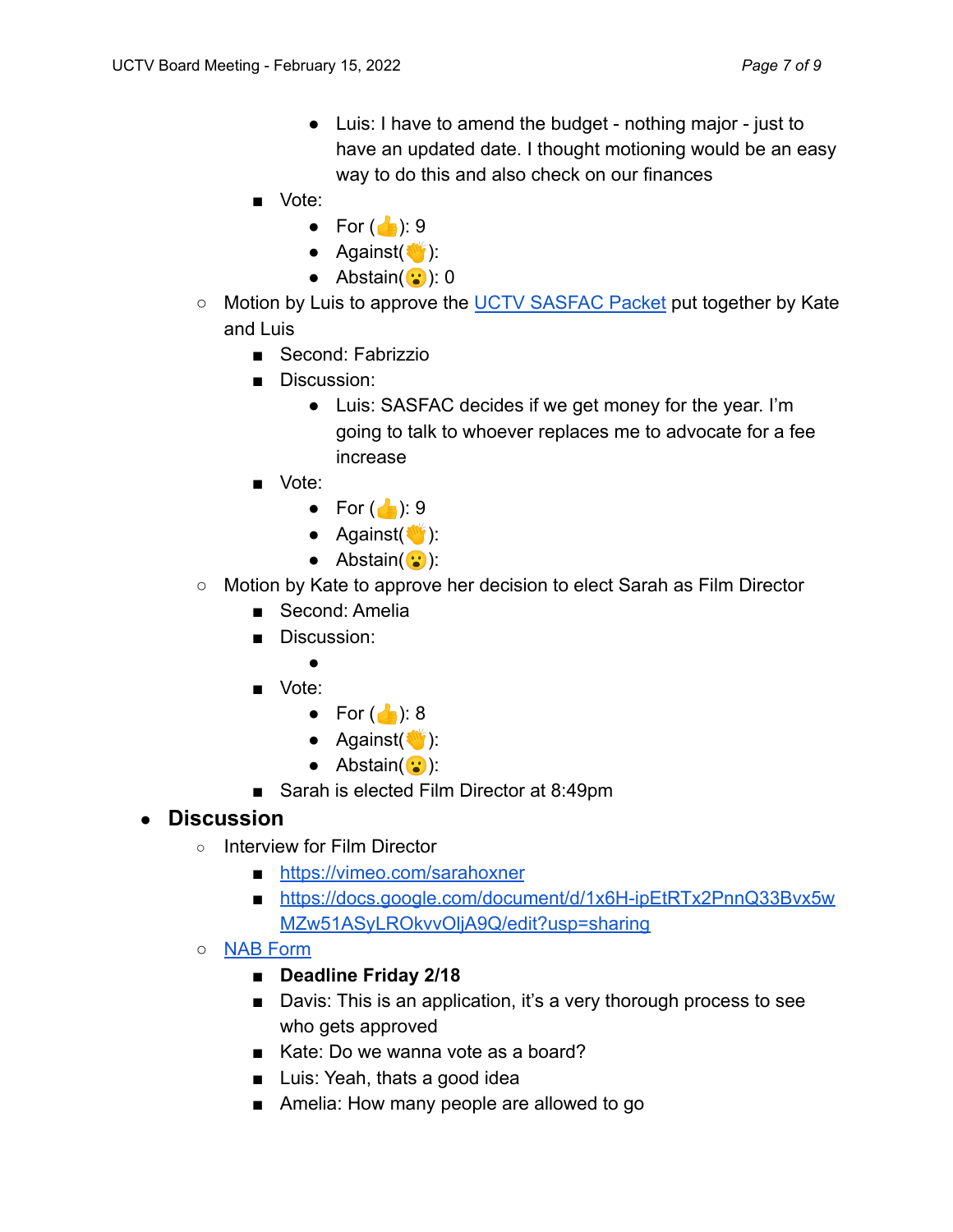- Luis: I have to amend the budget nothing major just to have an updated date. I thought motioning would be an easy way to do this and also check on our finances
- Vote:
	- For  $\binom{1}{2}$ : 9
	- $\bullet$  Against( $\bullet$ ):
	- $\bullet$  Abstain( $\cdot\cdot\cdot$ ): 0
- Motion by Luis to approve the UCTV SASFAC Packet put together by Kate and Luis
	- Second: Fabrizzio
	- Discussion:
		- Luis: SASFAC decides if we get money for the year. I'm going to talk to whoever replaces me to advocate for a fee increase
	- Vote:
		- For  $\binom{1}{2}$ : 9
		- $\bullet$  Against( $\bullet$ ):
		- $\bullet$  Abstain( $\ddots$ ):
- Motion by Kate to approve her decision to elect Sarah as Film Director
	- Second: Amelia
	- Discussion:
		-
	- Vote:
		- For  $\binom{1}{2}$ : 8
		- $\bullet$  Against( $\bullet$ ):
		- $\bullet$  Abstain( $\ddots$ ):
	- Sarah is elected Film Director at 8:49pm

## ● **Discussion**

- Interview for Film Director
	- https://vimeo.com/sarahoxner
	- https://docs.google.com/document/d/1x6H-ipEtRTx2PnnQ33Bvx5w MZw51ASyLROkvvOljA9Q/edit?usp=sharing
- NAB Form
	- **■ Deadline Friday 2/18**
	- Davis: This is an application, it's a very thorough process to see who gets approved
	- Kate: Do we wanna vote as a board?
	- Luis: Yeah, thats a good idea
	- Amelia: How many people are allowed to go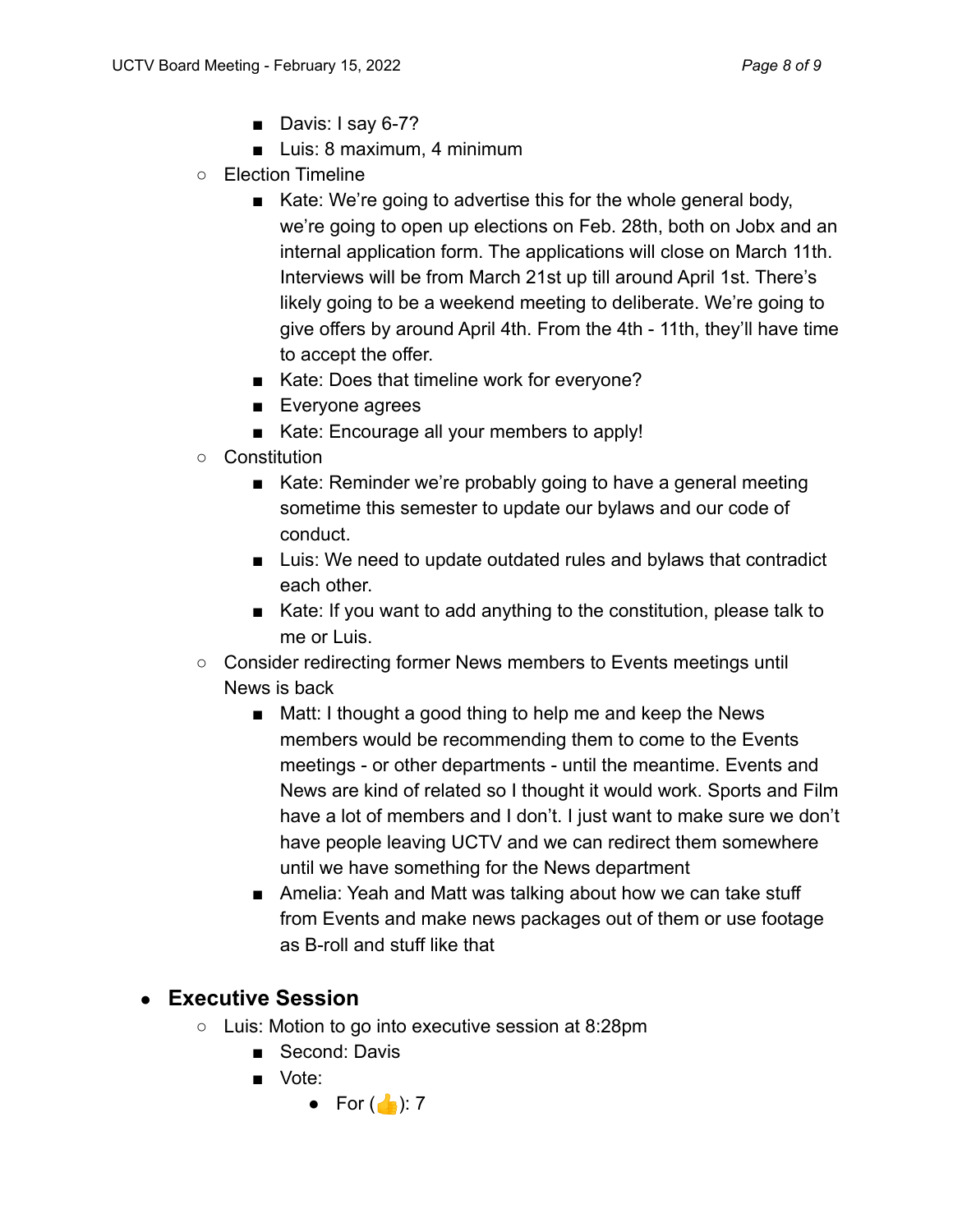- Davis: I say 6-7?
- Luis: 8 maximum, 4 minimum
- Election Timeline
	- Kate: We're going to advertise this for the whole general body, we're going to open up elections on Feb. 28th, both on Jobx and an internal application form. The applications will close on March 11th. Interviews will be from March 21st up till around April 1st. There's likely going to be a weekend meeting to deliberate. We're going to give offers by around April 4th. From the 4th - 11th, they'll have time to accept the offer.
	- Kate: Does that timeline work for everyone?
	- Everyone agrees
	- Kate: Encourage all your members to apply!
- Constitution
	- Kate: Reminder we're probably going to have a general meeting sometime this semester to update our bylaws and our code of conduct.
	- Luis: We need to update outdated rules and bylaws that contradict each other.
	- Kate: If you want to add anything to the constitution, please talk to me or Luis.
- Consider redirecting former News members to Events meetings until News is back
	- Matt: I thought a good thing to help me and keep the News members would be recommending them to come to the Events meetings - or other departments - until the meantime. Events and News are kind of related so I thought it would work. Sports and Film have a lot of members and I don't. I just want to make sure we don't have people leaving UCTV and we can redirect them somewhere until we have something for the News department
	- Amelia: Yeah and Matt was talking about how we can take stuff from Events and make news packages out of them or use footage as B-roll and stuff like that

## ● **Executive Session**

- Luis: Motion to go into executive session at 8:28pm
	- Second: Davis
	- Vote:
		- For  $\left(\begin{array}{c} \bullet \\ \bullet \end{array}\right)$ : 7